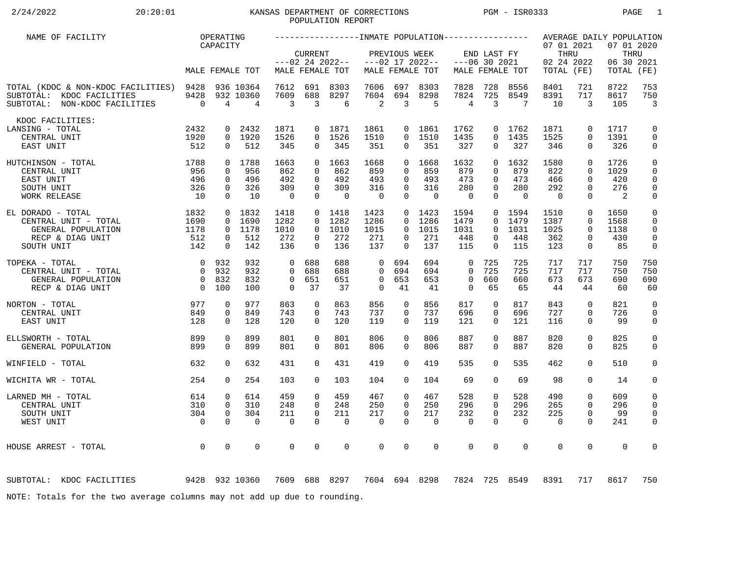# 2/24/2022 20:20:01 KANSAS DEPARTMENT OF CORRECTIONS PGM - ISR0333 PAGE 1 POPULATION REPORT

| NAME OF FACILITY                                                                                      |                                  | OPERATING                  |                             |                   |                            |                                      |                            |                              |                                      |                                |                                |                   |                                                |                            | AVERAGE DAILY POPULATION          |                              |
|-------------------------------------------------------------------------------------------------------|----------------------------------|----------------------------|-----------------------------|-------------------|----------------------------|--------------------------------------|----------------------------|------------------------------|--------------------------------------|--------------------------------|--------------------------------|-------------------|------------------------------------------------|----------------------------|-----------------------------------|------------------------------|
|                                                                                                       |                                  | CAPACITY                   | MALE FEMALE TOT             |                   | <b>CURRENT</b>             | $---02$ 24 2022--<br>MALE FEMALE TOT |                            | PREVIOUS WEEK                | $---02$ 17 2022--<br>MALE FEMALE TOT |                                | END LAST FY<br>$---06$ 30 2021 | MALE FEMALE TOT   | 07 01 2021<br>THRU<br>02 24 2022<br>TOTAL (FE) |                            | 07 01 2020<br>06 30 2021<br>TOTAL | THRU<br>(FE)                 |
|                                                                                                       |                                  |                            |                             |                   |                            |                                      |                            |                              |                                      |                                |                                |                   |                                                |                            |                                   |                              |
| TOTAL (KDOC & NON-KDOC FACILITIES) 9428<br>SUBTOTAL: KDOC FACILITIES<br>SUBTOTAL: NON-KDOC FACILITIES | 9428<br>$\overline{0}$           | 4                          | 936 10364<br>932 10360<br>4 | 7612<br>7609<br>3 | 691<br>688<br>3            | 8303<br>8297<br>6                    | 7606<br>7604<br>2          | 697<br>694<br>$\overline{3}$ | 8303<br>8298<br>5                    | 7828<br>7824<br>$\overline{4}$ | 728<br>725<br>3                | 8556<br>8549<br>7 | 8401<br>8391<br>10                             | 721<br>717<br>3            | 8722<br>8617<br>105               | 753<br>750<br>$\overline{3}$ |
| KDOC FACILITIES:                                                                                      |                                  |                            |                             |                   |                            |                                      |                            |                              |                                      |                                |                                |                   |                                                |                            |                                   |                              |
| LANSING - TOTAL<br>CENTRAL UNIT                                                                       | 2432<br>1920                     | 0                          | 2432<br>0 1920              | 1871<br>1526      | $\overline{0}$<br>$\Omega$ | 1871<br>1526                         | 1861<br>1510               | $\Omega$                     | 0 1861<br>1510                       | 1762<br>1435                   | 0<br>$\Omega$                  | 1762<br>1435      | 1871<br>1525                                   | $\mathbf 0$<br>$\Omega$    | 1717<br>1391                      | 0<br>$\mathbf 0$             |
| EAST UNIT                                                                                             | 512                              | $\mathbf 0$                | 512                         | 345               | 0                          | 345                                  | 351                        | $\mathbf{0}$                 | 351                                  | 327                            | 0                              | 327               | 346                                            | $\mathbf 0$                | 326                               | 0                            |
| 1788<br>HUTCHINSON - TOTAL                                                                            |                                  |                            | 0 1788                      | 1663              | $\Omega$                   | 1663                                 | 1668                       | $\Omega$                     | 1668                                 | 1632                           | $\Omega$                       | 1632              | 1580                                           | $\Omega$                   | 1726                              | $\mathsf 0$                  |
| CENTRAL UNIT<br>EAST UNIT                                                                             | 956<br>496                       | $\Omega$<br>$\Omega$       | 956<br>496                  | 862<br>492        | $\Omega$<br>$\Omega$       | 862<br>492                           | 859<br>493                 | $\Omega$<br>$\Omega$         | 859<br>493                           | 879<br>473                     | $\Omega$<br>$\Omega$           | 879<br>473        | 822<br>466                                     | $\Omega$<br>$\Omega$       | 1029<br>420                       | 0<br>0                       |
| SOUTH UNIT                                                                                            | 326                              | $\mathbf 0$                | 326                         | 309               | $\Omega$                   | 309                                  | 316                        | $\mathbf 0$                  | 316                                  | 280                            | $\Omega$                       | 280               | 292                                            | $\Omega$                   | 276                               | $\mathbf 0$                  |
| WORK RELEASE                                                                                          | 10                               | $\Omega$                   | 10                          | $\overline{0}$    | $\Omega$                   | $\Omega$                             | $\overline{0}$             | $\Omega$                     | $\Omega$                             | $\Omega$                       | $\Omega$                       | $\Omega$          | $\Omega$                                       | $\Omega$                   | 2                                 | $\mathsf{0}$                 |
| EL DORADO - TOTAL                                                                                     | 1832                             |                            | 0 1832                      | 1418              |                            | 0 1418                               | 1423                       |                              | $0 \quad 1423$                       | 1594                           | $\overline{0}$                 | 1594              | 1510                                           | $\mathbf 0$                | 1650                              | $\mathbf 0$                  |
| CENTRAL UNIT - TOTAL<br>GENERAL POPULATION                                                            | 1690<br>1178                     | $\Omega$<br>$\overline{0}$ | 1690<br>1178                | 1282<br>1010      | $\Omega$<br>$\Omega$       | 1282<br>1010                         | 1286<br>1015               | $\Omega$<br>$\Omega$         | 1286<br>1015                         | 1479<br>1031                   | $\Omega$<br>$\Omega$           | 1479<br>1031      | 1387<br>1025                                   | $\Omega$<br>$\Omega$       | 1568<br>1138                      | $\mathbf 0$<br>$\mathbf 0$   |
| RECP & DIAG UNIT                                                                                      | 512                              | $\mathbf 0$                | 512                         | 272               | $\Omega$                   | 272                                  | 271                        | 0                            | 271                                  | 448                            | 0                              | 448               | 362                                            | $\mathbf 0$                | 430                               | $\mathsf{O}$                 |
| SOUTH UNIT                                                                                            | 142                              | $\Omega$                   | 142                         | 136               | $\Omega$                   | 136                                  | 137                        | $\Omega$                     | 137                                  | 115                            | $\Omega$                       | 115               | 123                                            | $\mathbf 0$                | 85                                | 0                            |
| TOPEKA - TOTAL                                                                                        | $\overline{0}$                   | 932                        | 932                         | $\Omega$          | 688                        | 688                                  | $\mathbf 0$                | 694                          | 694                                  | $\mathbf 0$                    | 725                            | 725               | 717                                            | 717                        | 750                               | 750                          |
| CENTRAL UNIT - TOTAL                                                                                  | $\overline{0}$                   | 932                        | 932                         | $\Omega$          | 688                        | 688                                  | $\Omega$                   | 694                          | 694                                  | $\Omega$                       | 725                            | 725               | 717                                            | 717                        | 750                               | 750                          |
| GENERAL POPULATION<br>RECP & DIAG UNIT                                                                | $\overline{0}$<br>$\overline{0}$ | 832<br>100                 | 832<br>100                  | 0<br>$\Omega$     | 651<br>37                  | 651<br>37                            | $\mathbf 0$<br>$\mathbf 0$ | 653<br>41                    | 653<br>41                            | $\mathbf 0$<br>$\Omega$        | 660<br>65                      | 660<br>65         | 673<br>44                                      | 673<br>44                  | 690<br>60                         | 690<br>60                    |
|                                                                                                       |                                  |                            |                             |                   |                            |                                      |                            |                              |                                      |                                |                                |                   |                                                |                            |                                   |                              |
| NORTON - TOTAL<br>CENTRAL UNIT                                                                        | 977<br>849                       | 0<br>$\mathbf 0$           | 977<br>849                  | 863<br>743        | $\mathbf 0$<br>0           | 863<br>743                           | 856<br>737                 | 0<br>0                       | 856<br>737                           | 817<br>696                     | 0<br>0                         | 817<br>696        | 843<br>727                                     | $\mathbf 0$<br>$\mathbf 0$ | 821<br>726                        | $\mathbf 0$<br>0             |
| EAST UNIT                                                                                             | 128                              | $\Omega$                   | 128                         | 120               | $\Omega$                   | 120                                  | 119                        | $\Omega$                     | 119                                  | 121                            | $\Omega$                       | 121               | 116                                            | $\Omega$                   | 99                                | 0                            |
| ELLSWORTH - TOTAL                                                                                     | 899                              | $\Omega$                   | 899                         | 801               | $\Omega$                   | 801                                  | 806                        | $\Omega$                     | 806                                  | 887                            | $\Omega$                       | 887               | 820                                            | $\mathbf 0$                | 825                               | $\mathsf{O}$                 |
| GENERAL POPULATION                                                                                    | 899                              | $\Omega$                   | 899                         | 801               | $\Omega$                   | 801                                  | 806                        | $\Omega$                     | 806                                  | 887                            | $\Omega$                       | 887               | 820                                            | $\Omega$                   | 825                               | $\mathbf 0$                  |
| WINFIELD - TOTAL                                                                                      | 632                              | $\Omega$                   | 632                         | 431               | $\Omega$                   | 431                                  | 419                        | $\Omega$                     | 419                                  | 535                            | $\Omega$                       | 535               | 462                                            | $\Omega$                   | 510                               | $\mathbf 0$                  |
| WICHITA WR - TOTAL                                                                                    | 254                              | $\Omega$                   | 254                         | 103               | $\Omega$                   | 103                                  | 104                        | $\Omega$                     | 104                                  | 69                             | $\Omega$                       | 69                | 98                                             | $\Omega$                   | 14                                | 0                            |
| LARNED MH - TOTAL                                                                                     | 614                              | $\mathbf 0$                | 614                         | 459               | $\Omega$                   | 459                                  | 467                        | $\mathbf 0$                  | 467                                  | 528                            | 0                              | 528               | 490                                            | $\mathbf 0$                | 609                               | 0                            |
| CENTRAL UNIT                                                                                          | 310                              | $\mathbf 0$                | 310                         | 248               | $\Omega$                   | 248                                  | 250                        | $\Omega$                     | 250                                  | 296                            | $\Omega$                       | 296               | 265                                            | $\Omega$                   | 296                               | 0                            |
| SOUTH UNIT                                                                                            | 304                              | $\mathbf 0$                | 304                         | 211               | $\mathbf 0$                | 211                                  | 217                        | $\mathbf 0$                  | 217                                  | 232                            | 0                              | 232               | 225                                            | $\mathbf 0$                | 99                                | $\mathbf 0$                  |
| WEST UNIT                                                                                             | $\overline{0}$                   | $\Omega$                   | $\Omega$                    | $\Omega$          | $\Omega$                   | $\mathbf 0$                          | $\mathbf 0$                | $\Omega$                     | $\Omega$                             | $\mathbf 0$                    | $\Omega$                       | $\mathbf 0$       | $\mathbf 0$                                    | $\Omega$                   | 241                               | 0                            |
| HOUSE ARREST - TOTAL                                                                                  | $\overline{0}$                   | $\mathbf 0$                | 0                           | 0                 | 0                          | $\mathbf 0$                          | $\mathbf 0$                | $\mathbf 0$                  | $\mathbf 0$                          | $\mathbf 0$                    | 0                              | $\mathbf 0$       | $\mathbf 0$                                    | $\mathbf 0$                | $\mathbf 0$                       | 0                            |
| 9428 932 10360<br>SUBTOTAL: KDOC FACILITIES                                                           |                                  |                            |                             |                   |                            | 7609 688 8297                        |                            |                              | 7604 694 8298                        | 7824                           |                                | 725 8549          | 8391                                           | 717                        | 8617                              | 750                          |
| NOTE: Totals for the two average columns may not add up due to rounding.                              |                                  |                            |                             |                   |                            |                                      |                            |                              |                                      |                                |                                |                   |                                                |                            |                                   |                              |
|                                                                                                       |                                  |                            |                             |                   |                            |                                      |                            |                              |                                      |                                |                                |                   |                                                |                            |                                   |                              |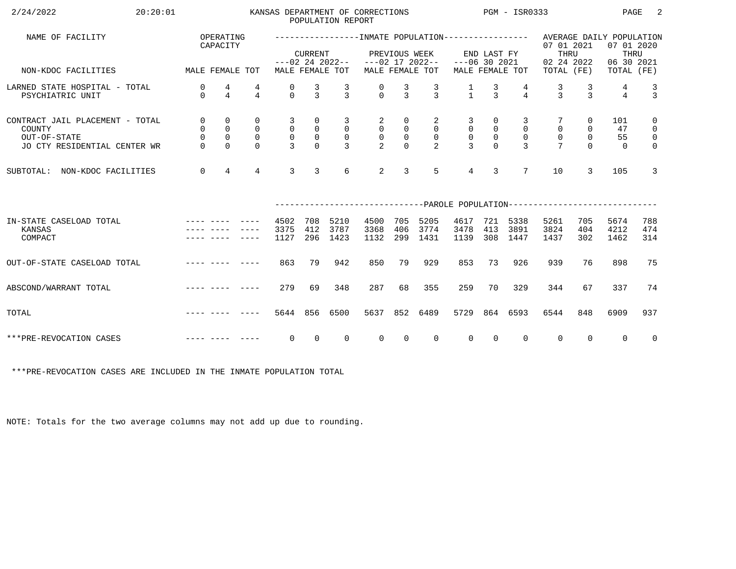| 2/24/2022<br>20:20:01                                                                     |                                                         |                                                               |                                                        |                                                                   |                                                             | POPULATION REPORT                                                   | KANSAS DEPARTMENT OF CORRECTIONS                                   |                                                           |                                                         | $PGM - ISR0333$                                                 |                                                                 |                                                       |                                                                           |                                                 | PAGE                        | -2                                                                          |
|-------------------------------------------------------------------------------------------|---------------------------------------------------------|---------------------------------------------------------------|--------------------------------------------------------|-------------------------------------------------------------------|-------------------------------------------------------------|---------------------------------------------------------------------|--------------------------------------------------------------------|-----------------------------------------------------------|---------------------------------------------------------|-----------------------------------------------------------------|-----------------------------------------------------------------|-------------------------------------------------------|---------------------------------------------------------------------------|-------------------------------------------------|-----------------------------|-----------------------------------------------------------------------------|
| NAME OF FACILITY                                                                          |                                                         | OPERATING<br>CAPACITY                                         |                                                        |                                                                   | <b>CURRENT</b>                                              |                                                                     |                                                                    | PREVIOUS WEEK                                             |                                                         |                                                                 | END LAST FY                                                     |                                                       | 07 01 2021<br>THRU                                                        |                                                 | 07 01 2020<br>THRU          |                                                                             |
| MALE FEMALE TOT<br>NON-KDOC FACILITIES                                                    |                                                         |                                                               |                                                        |                                                                   |                                                             | MALE FEMALE TOT                                                     | $---02$ 24 2022-- $---02$ 17 2022--                                |                                                           | MALE FEMALE TOT                                         | $---06$ 30 2021                                                 |                                                                 | MALE FEMALE TOT                                       | 02 24 2022<br>TOTAL (FE)                                                  |                                                 | 06 30 2021<br>TOTAL (FE)    |                                                                             |
| LARNED STATE HOSPITAL - TOTAL<br>PSYCHIATRIC UNIT                                         | 0<br>$\Omega$                                           | 4<br>$\overline{4}$                                           | 4<br>$\overline{4}$                                    | 0<br>$\Omega$                                                     | $\frac{3}{3}$                                               | $\frac{3}{3}$                                                       | $\frac{0}{0}$                                                      | $\frac{3}{3}$                                             | $\frac{3}{3}$                                           | $\frac{1}{1}$                                                   | $\frac{3}{3}$                                                   | $\overline{4}$                                        | $\frac{3}{3}$                                                             | $\frac{3}{3}$                                   | 4<br>$\overline{4}$         | $\frac{3}{3}$                                                               |
| CONTRACT JAIL PLACEMENT - TOTAL<br>COUNTY<br>OUT-OF-STATE<br>JO CTY RESIDENTIAL CENTER WR | $\mathsf{O}$<br>$\mathsf{O}$<br>$\mathsf 0$<br>$\Omega$ | $\mathbf 0$<br>$\mathsf 0$<br>$\mathsf{O}\xspace$<br>$\Omega$ | $\mathbf 0$<br>$\mathsf{O}$<br>$\mathbf 0$<br>$\Omega$ | $\overline{3}$<br>$\overline{0}$<br>$\mathsf{O}$<br>$\mathcal{E}$ | 0<br>$\begin{smallmatrix}0\\0\end{smallmatrix}$<br>$\Omega$ | $\overline{3}$<br>$\overline{0}$<br>$\overline{0}$<br>$\mathcal{E}$ | $\overline{a}$<br>$\begin{bmatrix} 0 \\ 0 \\ 0 \\ 2 \end{bmatrix}$ | 0<br>$\boldsymbol{0}$<br>$\begin{matrix}0\\0\end{matrix}$ | 2<br>$\overline{0}$<br>$\overline{0}$<br>$\overline{2}$ | $\overline{3}$<br>$\overline{0}$<br>$\mathbf 0$<br>$\mathbf{R}$ | $\overline{0}$<br>$\begin{smallmatrix}0\\0\\0\end{smallmatrix}$ | 3<br>$\overline{0}$<br>$\overline{0}$<br>$\mathbf{R}$ | $\mathsf{O}\xspace$<br>$\mathsf{O}\xspace$<br>$\overline{7}$              | $\overline{0}$<br>0<br>$\mathsf{O}$<br>$\Omega$ | 101<br>47<br>55<br>$\Omega$ | $\mathsf{O}$<br>$\overline{0}$<br>$\overline{\mathbf{0}}$<br>$\overline{0}$ |
| SUBTOTAL: NON-KDOC FACILITIES                                                             | $\overline{0}$                                          | $\overline{4}$                                                | $\overline{4}$                                         | 3                                                                 | $\overline{3}$                                              | 6                                                                   | 2                                                                  | 3                                                         | 5                                                       | $4\overline{ }$                                                 | $\overline{3}$                                                  | $7\overline{ }$                                       | 10                                                                        | 3                                               | 105                         | $\mathbf{3}$                                                                |
|                                                                                           |                                                         |                                                               |                                                        |                                                                   |                                                             |                                                                     |                                                                    |                                                           |                                                         |                                                                 |                                                                 |                                                       | ------------------------------PAROLE POPULATION-------------------------- |                                                 |                             |                                                                             |
| IN-STATE CASELOAD TOTAL<br>KANSAS<br>COMPACT                                              |                                                         |                                                               |                                                        | 4502<br>3375<br>1127                                              | 708<br>412<br>296                                           | 5210<br>3787<br>1423                                                | 4500<br>3368<br>1132                                               | 705<br>406<br>299                                         | 5205<br>3774<br>1431                                    | 4617<br>3478<br>1139                                            | 413                                                             | 721 5338<br>3891<br>308 1447                          | 5261<br>3824<br>1437                                                      | 705<br>404<br>302                               | 5674<br>4212<br>1462        | 788<br>474<br>314                                                           |
| OUT-OF-STATE CASELOAD TOTAL                                                               |                                                         |                                                               |                                                        | 863                                                               | 79                                                          | 942                                                                 | 850                                                                | 79                                                        | 929                                                     | 853                                                             | 73                                                              | 926                                                   | 939                                                                       | 76                                              | 898                         | 75                                                                          |
| ABSCOND/WARRANT TOTAL                                                                     |                                                         |                                                               |                                                        | 279                                                               | 69                                                          | 348                                                                 | 287                                                                | 68                                                        | 355                                                     | 259                                                             | 70                                                              | 329                                                   | 344                                                                       | 67                                              | 337                         | 74                                                                          |
| TOTAL                                                                                     |                                                         |                                                               |                                                        | 5644 856                                                          |                                                             | 6500                                                                | 5637                                                               | 852                                                       | 6489                                                    | 5729                                                            |                                                                 | 864 6593                                              | 6544                                                                      | 848                                             | 6909                        | 937                                                                         |
| ***PRE-REVOCATION CASES                                                                   |                                                         |                                                               |                                                        | $\overline{0}$                                                    | $\overline{0}$                                              | $\Omega$                                                            | $\overline{0}$                                                     | $\overline{0}$                                            | $\Omega$                                                | $\overline{0}$                                                  | $\overline{0}$                                                  | $\mathbf{0}$                                          | $\overline{0}$                                                            | $\Omega$                                        | $\Omega$                    | $\overline{0}$                                                              |

\*\*\*PRE-REVOCATION CASES ARE INCLUDED IN THE INMATE POPULATION TOTAL

NOTE: Totals for the two average columns may not add up due to rounding.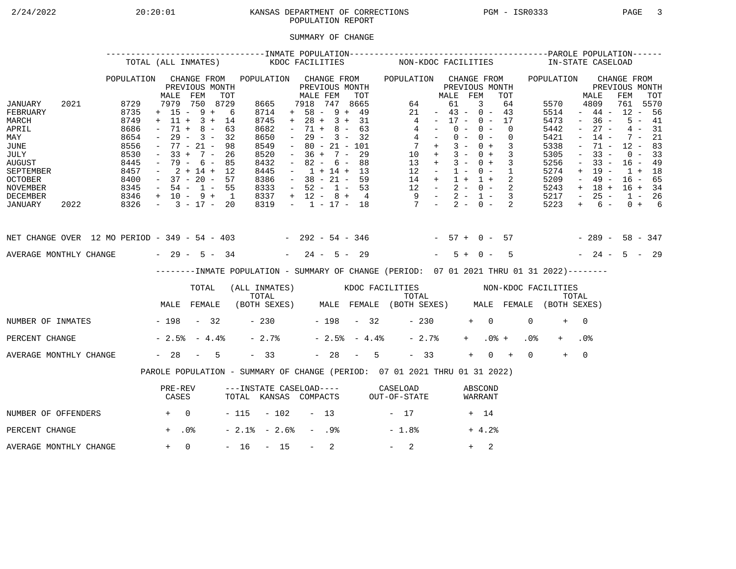## 2/24/2022 20:20:01 KANSAS DEPARTMENT OF CORRECTIONS PGM - ISR0333 PAGE 3POPULATION REPORT

## SUMMARY OF CHANGE

|                                                                                                                                        |      |                                                                                      | TOTAL (ALL INMATES)                                                                                                                                          |                                                 |     |                                                                                             | KDOC FACILITIES     |                                                                                                                                                                          |                  |                                                                    |     |                | NON-KDOC FACILITIES                                                                                                                            |                                                                                                 |                                  |                |            |                          |                            |                 | IN-STATE CASELOAD                                                                    |                                                                                                           |                                                                                                       |                                                                                       |                                              |  |
|----------------------------------------------------------------------------------------------------------------------------------------|------|--------------------------------------------------------------------------------------|--------------------------------------------------------------------------------------------------------------------------------------------------------------|-------------------------------------------------|-----|---------------------------------------------------------------------------------------------|---------------------|--------------------------------------------------------------------------------------------------------------------------------------------------------------------------|------------------|--------------------------------------------------------------------|-----|----------------|------------------------------------------------------------------------------------------------------------------------------------------------|-------------------------------------------------------------------------------------------------|----------------------------------|----------------|------------|--------------------------|----------------------------|-----------------|--------------------------------------------------------------------------------------|-----------------------------------------------------------------------------------------------------------|-------------------------------------------------------------------------------------------------------|---------------------------------------------------------------------------------------|----------------------------------------------|--|
|                                                                                                                                        |      | POPULATION                                                                           | MALE                                                                                                                                                         | CHANGE FROM<br>PREVIOUS MONTH<br>FEM            | TOT | POPULATION CHANGE FROM                                                                      |                     | MALE FEM                                                                                                                                                                 |                  | PREVIOUS MONTH                                                     | TOT |                | POPULATION CHANGE FROM                                                                                                                         |                                                                                                 | MALE FEM                         | PREVIOUS MONTH |            |                          | TOT                        |                 | POPULATION                                                                           |                                                                                                           | MALE                                                                                                  | CHANGE FROM<br>PREVIOUS MONTH<br>FEM                                                  | TOT                                          |  |
| JANUARY<br>FEBRUARY<br>MARCH<br>APRIL<br>MAY<br>JUNE<br>JULY<br><b>AUGUST</b><br>SEPTEMBER<br><b>OCTOBER</b><br>NOVEMBER               | 2021 | 8729<br>8735<br>8749<br>8686<br>8654<br>8556<br>8530<br>8445<br>8457<br>8400<br>8345 | $+ 15 - 9 + 6$<br>$+ 11 + 3 + 14$<br>$\sim$<br>$\sim$<br>$-77 - 21 -$<br>$-33 + 7 - 26$<br>$-79 - 6 - 85$<br>$-2+14+12$<br>$-37 - 20 - 57$<br>$-54 - 1 - 55$ | 7979 750 8729<br>$71 + 8 - 63$<br>$29 - 3 - 32$ | 98  | 8665<br>8714<br>8745<br>8682<br>8650<br>8549<br>8520<br>8432<br>8445<br>8386<br>8333        |                     | 7918 747 8665<br>$+ 58 - 9 + 49$<br>$+ 28 + 3 + 31$<br>$\sim$<br>$\sim$ $-$<br>$\sim$<br>$-36 + 7 - 29$<br>$\sim$<br>$-1 + 14 + 13$<br>$-38 - 21 - 59$<br>$-52 - 1 - 53$ |                  | $71 + 8 - 63$<br>$29 - 3 - 32$<br>$80 - 21 - 101$<br>$82 - 6 - 88$ |     |                | $\overline{4}$<br>$\begin{array}{ccccccccc} 14 & + & 1 & + & 1 & + & 2 \\ 12 & - & 2 & - & 0 & - & 2 \\ 9 & - & 2 & - & 1 & - & 3 \end{array}$ | 64<br>21<br>$4 -$<br>$4 -$<br>$7 +$<br>$10 + 3 - 0 + 3$<br>$13 + 3 - 0 + 3$<br>$12 - 1 - 0 - 1$ | $-43 - 0 - 43$<br>$-17 - 0 - 17$ | 61<br>$0 -$    | 3<br>$0 -$ | $0 - 0 -$<br>$3 - 0 + 3$ | 64<br>$\Omega$<br>$\Omega$ |                 | 5570<br>5514<br>5473<br>5442<br>5421<br>5338<br>5305<br>5256<br>5274<br>5209<br>5243 | $\sim$<br>$\sim$<br>$\overline{\phantom{a}}$<br>$\equiv$<br>$\overline{\phantom{a}}$<br>$+$<br>$\sim$ $-$ | 4809<br>$-44-$<br>$-36 -$<br>$27 -$<br>$14 -$<br>71 -<br>$33 -$<br>$33 -$<br>19 -<br>49 -<br>$+ 18 +$ | 761 5570<br>$12 - 56$<br>$12 - 83$<br>$16 - 49$<br>$1 + 18$<br>$16 - 65$<br>$16 + 34$ | $5 - 41$<br>$4 - 31$<br>$7 - 21$<br>$0 - 33$ |  |
| DECEMBER<br>JANUARY                                                                                                                    | 2022 | $8346 + 10 - 9 + 1$<br>$8326 - 3 - 17 - 20$                                          |                                                                                                                                                              |                                                 |     | 8337<br>8319                                                                                |                     | $+ 12 - 8 + 4$                                                                                                                                                           |                  |                                                                    |     |                | $-1$ $-17$ $-18$ $7$ $-2$ $-0$ $-2$                                                                                                            |                                                                                                 |                                  |                |            |                          |                            |                 | 5217<br>5223                                                                         | $\sim$ $-$<br>$+$                                                                                         | $25 -$<br>$6 -$                                                                                       | $1 - 26$                                                                              | $0 + 6$                                      |  |
| NET CHANGE OVER 12 MO PERIOD - 349 - 54 - 403 - 292 - 54 - 346 - 57 + 0 - 57 - 289 - 58 - 347<br>AVERAGE MONTHLY CHANGE $-29 - 5 - 34$ |      |                                                                                      |                                                                                                                                                              |                                                 |     |                                                                                             |                     | $-24 - 5 - 29$                                                                                                                                                           |                  |                                                                    |     |                |                                                                                                                                                |                                                                                                 |                                  | $5 + 0 -$      |            |                          | $5^{\circ}$                |                 | $-24 - 5 - 29$                                                                       |                                                                                                           |                                                                                                       |                                                                                       |                                              |  |
|                                                                                                                                        |      |                                                                                      |                                                                                                                                                              |                                                 |     | --------INMATE POPULATION - SUMMARY OF CHANGE (PERIOD: 07 01 2021 THRU 01 31 2022)--------  |                     |                                                                                                                                                                          |                  |                                                                    |     |                |                                                                                                                                                |                                                                                                 |                                  |                |            |                          |                            |                 |                                                                                      |                                                                                                           |                                                                                                       |                                                                                       |                                              |  |
|                                                                                                                                        |      |                                                                                      |                                                                                                                                                              | TOTAL                                           |     | (ALL INMATES) WOOC FACILITIES NON-KDOC FACILITIES                                           |                     |                                                                                                                                                                          |                  |                                                                    |     |                |                                                                                                                                                |                                                                                                 |                                  |                |            |                          |                            |                 |                                                                                      |                                                                                                           |                                                                                                       |                                                                                       |                                              |  |
|                                                                                                                                        |      |                                                                                      | MALE FEMALE                                                                                                                                                  |                                                 |     | TOTAL TOTAL TOTAL TOTAL TOTAL TOTAL TOTAL TOTAL TOTAL (BOTH SEXES) MALE FEMALE (BOTH SEXES) |                     |                                                                                                                                                                          |                  |                                                                    |     |                |                                                                                                                                                |                                                                                                 |                                  |                |            |                          |                            |                 |                                                                                      |                                                                                                           |                                                                                                       |                                                                                       |                                              |  |
| NUMBER OF INMATES - 198 - 32                                                                                                           |      |                                                                                      |                                                                                                                                                              |                                                 |     |                                                                                             | $-230$ $-198$ $-32$ |                                                                                                                                                                          |                  |                                                                    |     |                |                                                                                                                                                | $-230$                                                                                          |                                  |                | $+ 0$      |                          |                            | $\Omega$        | $+$                                                                                  | $\bigcap$                                                                                                 |                                                                                                       |                                                                                       |                                              |  |
| PERCENT CHANGE                                                                                                                         |      |                                                                                      | $-2.5$ $-4.4$ $-$                                                                                                                                            |                                                 |     | $-2.7%$                                                                                     |                     |                                                                                                                                                                          |                  |                                                                    |     | $-2.5% - 4.4%$ |                                                                                                                                                | $-2.7%$                                                                                         |                                  |                | $+$ $-$    | $.0%$ +                  |                            | .0 <sub>8</sub> |                                                                                      | .0 <sub>8</sub>                                                                                           |                                                                                                       |                                                                                       |                                              |  |
| AVERAGE MONTHLY CHANGE                                                                                                                 |      |                                                                                      | $-28 - 5$                                                                                                                                                    |                                                 |     | $-33$                                                                                       |                     |                                                                                                                                                                          |                  |                                                                    |     | $-28 - 5$      |                                                                                                                                                | $-33$                                                                                           |                                  |                | $+$        | $0 +$                    |                            | $\Omega$        | $+$                                                                                  | $\overline{0}$                                                                                            |                                                                                                       |                                                                                       |                                              |  |
|                                                                                                                                        |      |                                                                                      | PAROLE POPULATION - SUMMARY OF CHANGE (PERIOD: 07 01 2021 THRU 01 31 2022)                                                                                   |                                                 |     |                                                                                             |                     |                                                                                                                                                                          |                  |                                                                    |     |                |                                                                                                                                                |                                                                                                 |                                  |                |            |                          |                            |                 |                                                                                      |                                                                                                           |                                                                                                       |                                                                                       |                                              |  |
|                                                                                                                                        |      |                                                                                      | PRE-REV<br>CASES                                                                                                                                             |                                                 |     | ---INSTATE CASELOAD---- CASELOAD<br>TOTAL KANSAS COMPACTS OUT-OF-STATE                      |                     |                                                                                                                                                                          |                  |                                                                    |     |                |                                                                                                                                                |                                                                                                 |                                  |                |            | ABSCOND<br>WARRANT       |                            |                 |                                                                                      |                                                                                                           |                                                                                                       |                                                                                       |                                              |  |
| NUMBER OF OFFENDERS                                                                                                                    |      | $+$ 0                                                                                |                                                                                                                                                              |                                                 |     | $-115 - 102 - 13$                                                                           |                     |                                                                                                                                                                          |                  |                                                                    |     |                | $-17$                                                                                                                                          |                                                                                                 |                                  |                | + 14       |                          |                            |                 |                                                                                      |                                                                                                           |                                                                                                       |                                                                                       |                                              |  |
| PERCENT CHANGE                                                                                                                         |      |                                                                                      | $+$ .0%                                                                                                                                                      |                                                 |     | $-2.1$ % $-2.6$ %                                                                           |                     |                                                                                                                                                                          | - .98            |                                                                    |     |                | $-1.8%$                                                                                                                                        |                                                                                                 |                                  |                |            | $+4.2%$                  |                            |                 |                                                                                      |                                                                                                           |                                                                                                       |                                                                                       |                                              |  |
| AVERAGE MONTHLY CHANGE                                                                                                                 |      |                                                                                      | $+ 0$                                                                                                                                                        |                                                 |     | $-16 - 15$                                                                                  |                     |                                                                                                                                                                          | $\sim$ 100 $\mu$ | 2                                                                  |     |                | $-2$                                                                                                                                           |                                                                                                 |                                  |                | $+$        | 2                        |                            |                 |                                                                                      |                                                                                                           |                                                                                                       |                                                                                       |                                              |  |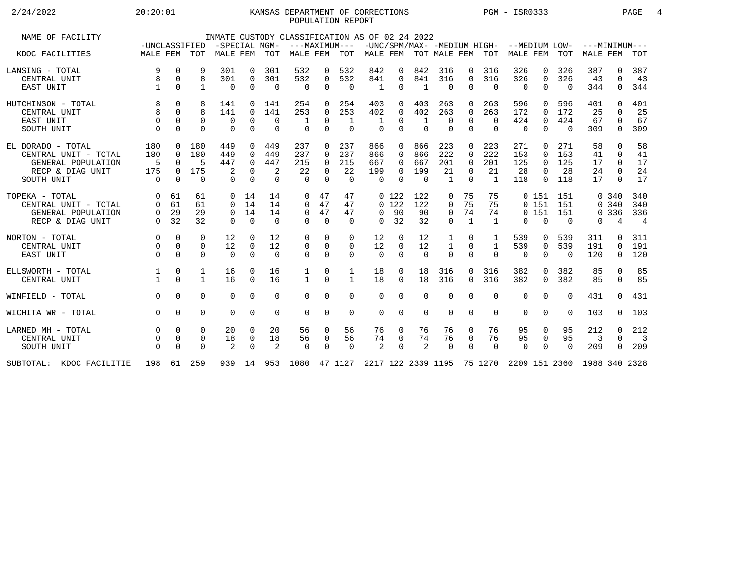## 2/24/2022 20:20:01 KANSAS DEPARTMENT OF CORRECTIONS PGM - ISR0333 PAGE 4POPULATION REPORT

| NAME OF FACILITY                                                                                  | -UNCLASSIFIED                         |                                                        |                                    | -SPECIAL MGM-                         |                                                          |                                    | INMATE CUSTODY CLASSIFICATION AS OF 02 24 2022<br>---MAXIMUM--- |                                                        |                                     |                                      |                                |                                    |                                           |                                                          |                                           | -UNC/SPM/MAX- -MEDIUM HIGH- --MEDIUM LOW- |                                                          |                                | $---MINIMUM---$            |                                                        |                                          |
|---------------------------------------------------------------------------------------------------|---------------------------------------|--------------------------------------------------------|------------------------------------|---------------------------------------|----------------------------------------------------------|------------------------------------|-----------------------------------------------------------------|--------------------------------------------------------|-------------------------------------|--------------------------------------|--------------------------------|------------------------------------|-------------------------------------------|----------------------------------------------------------|-------------------------------------------|-------------------------------------------|----------------------------------------------------------|--------------------------------|----------------------------|--------------------------------------------------------|------------------------------------------|
| KDOC FACILITIES                                                                                   | MALE FEM TOT                          |                                                        |                                    | MALE FEM                              |                                                          | TOT                                | MALE FEM                                                        |                                                        | TOT                                 |                                      |                                | MALE FEM TOT MALE FEM TOT          |                                           |                                                          |                                           | MALE FEM                                  |                                                          | TOT                            | MALE FEM                   |                                                        | TOT                                      |
| LANSING - TOTAL<br>CENTRAL UNIT<br>EAST UNIT                                                      | 9<br>8                                | $\Omega$<br>$\overline{0}$<br>$\Omega$                 | 9<br>8<br>$\mathbf{1}$             | 301<br>301<br>$\Omega$                | $\Omega$<br>$\mathbf 0$<br>$\Omega$                      | 301<br>301<br>$\Omega$             | 532<br>532<br>$\Omega$                                          | 0<br>$\mathbf 0$<br>$\Omega$                           | 532<br>532<br>$\Omega$              | 842<br>841<br>$\mathbf{1}$           | 0<br>0<br>$\Omega$             | 842<br>841<br>$\mathbf{1}$         | 316<br>316<br>$\Omega$                    | $\Omega$<br>$\mathbf 0$<br>$\Omega$                      | 316<br>316<br>$\Omega$                    | 326<br>326<br>$\Omega$                    | 0<br>$\mathbf 0$<br>$\Omega$                             | 326<br>326<br>$\Omega$         | 387<br>43<br>344           | 0<br>$\Omega$<br>0                                     | 387<br>43<br>344                         |
| HUTCHINSON - TOTAL<br>CENTRAL UNIT<br>EAST UNIT<br>SOUTH UNIT                                     | 8<br>$\Omega$<br>$\Omega$             | $\Omega$<br>$\Omega$<br>$\Omega$<br>$\Omega$           | 8<br>8<br>$\Omega$<br>$\Omega$     | 141<br>141<br>0<br>$\Omega$           | $\Omega$<br>$\Omega$<br>$\Omega$                         | 141<br>141<br>$\Omega$<br>$\Omega$ | 254<br>253<br>$\Omega$                                          | $\Omega$<br>$\Omega$<br>$\Omega$<br>$\Omega$           | 254<br>253<br>$\Omega$              | 403<br>402<br>$\Omega$               | 0<br>0<br>0<br>$\Omega$        | 403<br>402<br>$\Omega$             | 263<br>263<br>$\Omega$<br>$\Omega$        | $\Omega$<br>$\Omega$<br>$\Omega$<br>$\Omega$             | 263<br>263<br>$\Omega$<br>$\Omega$        | 596<br>172<br>424<br>$\Omega$             | $\Omega$<br>$\Omega$<br>$\mathbf 0$<br>$\Omega$          | 596<br>172<br>424<br>$\Omega$  | 401<br>25<br>67<br>309     | U<br>0<br>$\Omega$<br>$\Omega$                         | 401<br>25<br>67<br>309                   |
| EL DORADO - TOTAL<br>CENTRAL UNIT - TOTAL<br>GENERAL POPULATION<br>RECP & DIAG UNIT<br>SOUTH UNIT | 180<br>180<br>5<br>175<br>$\cap$      | $\Omega$<br>$\Omega$<br>$\Omega$<br>$\Omega$<br>$\cap$ | 180<br>180<br>5<br>175<br>$\Omega$ | 449<br>449<br>447<br>2<br>$\Omega$    | $\Omega$<br>$\Omega$<br>$\Omega$<br>$\Omega$<br>$\Omega$ | 449<br>449<br>447<br>2<br>$\Omega$ | 237<br>237<br>215<br>22<br>$\cap$                               | $\Omega$<br>$\Omega$<br>$\Omega$<br>$\Omega$<br>$\cap$ | 237<br>237<br>215<br>22<br>$\Omega$ | 866<br>866<br>667<br>199<br>$\Omega$ | 0<br>0<br>0<br>0<br>$\cap$     | 866<br>866<br>667<br>199<br>$\cap$ | 223<br>222<br>201<br>21<br>$\overline{1}$ | $\Omega$<br>$\Omega$<br>$\Omega$<br>$\Omega$<br>$\Omega$ | 223<br>222<br>201<br>21<br>$\overline{1}$ | 271<br>153<br>125<br>28<br>118            | $\Omega$<br>$\Omega$<br>$\Omega$<br>$\Omega$<br>$\Omega$ | 271<br>153<br>125<br>28<br>118 | 58<br>41<br>17<br>24<br>17 | $\Omega$<br>$\Omega$<br>$\Omega$<br>$\Omega$<br>$\cap$ | 58<br>41<br>17<br>24<br>17               |
| TOPEKA - TOTAL<br>CENTRAL UNIT - TOTAL<br>GENERAL POPULATION<br>RECP & DIAG UNIT                  | $\Omega$<br>$\Omega$<br>0<br>$\Omega$ | 61<br>61<br>29<br>32                                   | 61<br>61<br>29<br>32               | $\Omega$<br>$\Omega$<br>$\Omega$<br>0 | 14<br>14<br>14<br>$\Omega$                               | 14<br>14<br>14<br>$\Omega$         | 0<br>$\Omega$<br>$\Omega$<br>$\Omega$                           | 47<br>47<br>47<br>$\Omega$                             | 47<br>47<br>47<br>$\Omega$          | $\Omega$<br>$\Omega$                 | $0\;122$<br>0, 122<br>90<br>32 | 122<br>122<br>90<br>32             | 0<br>0<br>$\mathbf 0$<br>$\Omega$         | 75<br>75<br>74<br>$\mathbf{1}$                           | 75<br>75<br>74<br>$\mathbf{1}$            | $\Omega$                                  | 0151<br>0151<br>0151<br>$\Omega$                         | 151<br>151<br>151<br>$\Omega$  | 0                          | 0.340<br>0, 340<br>0 336<br>4                          | 340<br>340<br>336<br>$\overline{4}$      |
| NORTON - TOTAL<br>CENTRAL UNIT<br>EAST UNIT                                                       | $\Omega$<br>$\Omega$<br>$\Omega$      | $\Omega$<br>$\Omega$<br>$\Omega$                       | $\Omega$<br>$\Omega$<br>$\Omega$   | 12<br>12<br>$\Omega$                  | $\Omega$<br>$\overline{0}$<br>$\Omega$                   | 12<br>12<br>$\Omega$               | $\Omega$<br>$\mathbf 0$<br>$\Omega$                             | $\Omega$<br>$\mathbf 0$<br>$\Omega$                    | $\Omega$<br>0<br>$\mathbf 0$        | 12<br>12<br>$\Omega$                 | $\Omega$<br>0<br>$\Omega$      | 12<br>12<br>$\Omega$               | 1<br>1<br>$\Omega$                        | $\Omega$<br>$\Omega$<br>$\Omega$                         | $\mathbf{1}$<br>$\Omega$                  | 539<br>539<br>$\mathbf 0$                 | 0<br>$\mathbf 0$<br>$\mathbf 0$                          | 539<br>539<br>$\Omega$         | 311<br>191<br>120          | <sup>n</sup><br>$\Omega$<br>0                          | 311<br>191<br>120                        |
| ELLSWORTH - TOTAL<br>CENTRAL UNIT                                                                 |                                       | 0<br>$\Omega$                                          | 1<br>$\mathbf{1}$                  | 16<br>16                              | $\Omega$<br>$\Omega$                                     | 16<br>16                           | 1<br>$\mathbf{1}$                                               | 0<br>$\Omega$                                          | 1<br>$\mathbf{1}$                   | 18<br>18                             | 0<br>$\Omega$                  | 18<br>18                           | 316<br>316                                | $\Omega$<br>$\Omega$                                     | 316<br>316                                | 382<br>382                                | $\Omega$<br>$\mathbf 0$                                  | 382<br>382                     | 85<br>85                   | $\Omega$<br>$\Omega$                                   | 85<br>85                                 |
| WINFIELD - TOTAL                                                                                  | $\cap$                                | $\Omega$                                               | $\Omega$                           | $\Omega$                              | $\Omega$                                                 | $\Omega$                           | $\Omega$                                                        | $\Omega$                                               | $\Omega$                            | $\Omega$                             | 0                              | $\Omega$                           | $\Omega$                                  | $\Omega$                                                 | $\Omega$                                  | $\Omega$                                  | $\Omega$                                                 | $\Omega$                       | 431                        | $\Omega$                                               | 431                                      |
| WICHITA WR - TOTAL                                                                                | $\Omega$                              | $\Omega$                                               | $\Omega$                           | $\Omega$                              | $\Omega$                                                 | $\Omega$                           | $\Omega$                                                        | $\Omega$                                               | $\Omega$                            | $\Omega$                             | 0                              | $\Omega$                           | $\Omega$                                  | $\Omega$                                                 | $\Omega$                                  | $\Omega$                                  | $\Omega$                                                 | $\Omega$                       | 103                        | $\Omega$                                               | 103                                      |
| LARNED MH - TOTAL<br>CENTRAL UNIT<br>SOUTH UNIT                                                   | $\Omega$                              | $\Omega$<br>$\Omega$<br>$\Omega$                       | $\Omega$<br>0<br>$\Omega$          | 20<br>18<br>2                         | $\Omega$<br>0<br>$\Omega$                                | 20<br>18<br>2                      | 56<br>56<br>$\Omega$                                            | 0<br>0<br>$\Omega$                                     | 56<br>56<br>$\Omega$                | 76<br>74<br>2                        | 0<br>0<br>$\Omega$             | 76<br>74<br>2                      | 76<br>76<br>$\Omega$                      | 0<br>$\overline{0}$<br>$\Omega$                          | 76<br>76<br>$\Omega$                      | 95<br>95<br>$\Omega$                      | 0<br>0<br>$\Omega$                                       | 95<br>95<br>$\Omega$           | 212<br>3<br>209            | $\Omega$<br>$\Omega$<br>$\Omega$                       | 212<br>$\overline{\phantom{a}}$ 3<br>209 |
| KDOC FACILITIE<br>SUBTOTAL:                                                                       | 198                                   |                                                        | 61 259                             |                                       |                                                          |                                    | 939 14 953 1080 47 1127                                         |                                                        |                                     | 2217 122 2339 1195 75 1270           |                                |                                    |                                           |                                                          |                                           | 2209 151 2360                             |                                                          |                                | 1988 340 2328              |                                                        |                                          |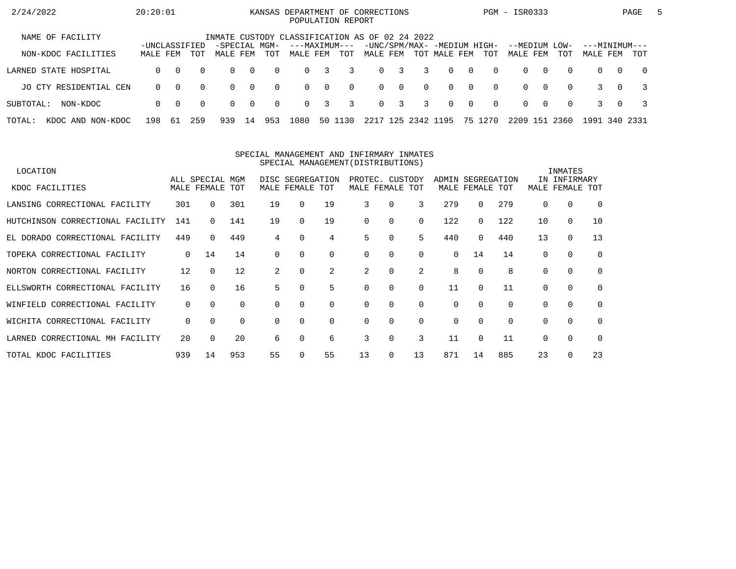| 2/24/2022                   | 20:20:01                  |          |          |                                                |                |          | KANSAS DEPARTMENT OF CORRECTIONS |                         | POPULATION REPORT |          |             |           |              |                |                                    | PGM - ISR0333        |          |             |                           |          | PAGE           | $\mathbf{b}$ |
|-----------------------------|---------------------------|----------|----------|------------------------------------------------|----------------|----------|----------------------------------|-------------------------|-------------------|----------|-------------|-----------|--------------|----------------|------------------------------------|----------------------|----------|-------------|---------------------------|----------|----------------|--------------|
| NAME OF FACILITY            |                           |          |          | INMATE CUSTODY CLASSIFICATION AS OF 02 24 2022 |                |          |                                  |                         |                   |          |             |           |              |                |                                    |                      |          |             |                           |          |                |              |
| NON-KDOC FACILITIES         | -UNCLASSIFIED<br>MALE FEM |          | TOT      | -SPECIAL MGM-<br>MALE FEM                      |                | TOT      | ---MAXIMUM---<br>MALE FEM        |                         | TOT               | MALE FEM |             |           | TOT MALE FEM |                | -UNC/SPM/MAX- -MEDIUM HIGH-<br>TOT | --MEDIUM<br>MALE FEM |          | LOW-<br>TOT | ---MINIMUM---<br>MALE FEM |          | TOT            |              |
| LARNED STATE HOSPITAL       | 0                         | $\Omega$ | $\Omega$ | $\Omega$                                       | $\overline{0}$ | $\Omega$ | $\Omega$                         | 3                       | 3                 |          | $0 \quad 3$ | 3         | $\Omega$     | $\cap$         | $\Omega$                           | $\Omega$             | $\Omega$ | $\Omega$    | $\Omega$                  | $\Omega$ | $\overline{0}$ |              |
| JO CTY RESIDENTIAL CEN      | $\Omega$                  | $\Omega$ | $\Omega$ | $\Omega$                                       | $\overline{0}$ | $\Omega$ | $\Omega$                         | $\overline{0}$          | $\Omega$          |          | $0 \quad 0$ | $\Omega$  | $\Omega$     | $\overline{0}$ | $\Omega$                           | $\Omega$             | $\Omega$ | $\Omega$    |                           | $\Omega$ |                |              |
| SUBTOTAL:<br>NON-KDOC       | $\Omega$                  | $\Omega$ | $\Omega$ | $\Omega$                                       | $\overline{0}$ | $\Omega$ | $\Omega$                         | $\overline{\mathbf{3}}$ | 3                 |          | $0 \quad 3$ | 3         | $\Omega$     | $\bigcap$      | $\Omega$                           | $\Omega$             | റ        | $\Omega$    |                           | $\Omega$ |                |              |
| TOTAL:<br>KDOC AND NON-KDOC | 198                       | -61      | 259      | 939                                            | 14             | 953      | L080                             |                         | 50 1130           | 2217 125 |             | 2342 1195 |              |                | 75 1270                            | 2209                 | 151      | 2360        | 1991                      |          | 340 2331       |              |

#### SPECIAL MANAGEMENT AND INFIRMARY INMATESSPECIAL MANAGEMENT(DISTRIBUTIONS)

| LOCATION                         |              |                 |          |          |                  |             |    |                 |          |       |             |          |          | INMATES      |          |
|----------------------------------|--------------|-----------------|----------|----------|------------------|-------------|----|-----------------|----------|-------|-------------|----------|----------|--------------|----------|
|                                  |              | ALL SPECIAL MGM |          |          | DISC SEGREGATION |             |    | PROTEC. CUSTODY |          | ADMIN | SEGREGATION |          |          | IN INFIRMARY |          |
| KDOC FACILITIES                  |              | MALE FEMALE TOT |          |          | MALE FEMALE TOT  |             |    | MALE FEMALE TOT |          |       | MALE FEMALE | TOT      | MALE     | FEMALE       | TOT      |
| LANSING CORRECTIONAL FACILITY    | 301          | 0               | 301      | 19       | $\Omega$         | 19          | 3  | $\Omega$        | 3        | 279   | 0           | 279      | $\Omega$ | 0            | $\Omega$ |
| HUTCHINSON CORRECTIONAL FACILITY | 141          | 0               | 141      | 19       | $\Omega$         | 19          | 0  | $\Omega$        | 0        | 122   | $\Omega$    | 122      | 10       | $\mathbf 0$  | 10       |
| EL DORADO CORRECTIONAL FACILITY  | 449          | $\Omega$        | 449      | 4        | 0                | 4           | 5  | 0               | 5        | 440   | $\Omega$    | 440      | 13       | $\mathbf 0$  | 13       |
| TOPEKA CORRECTIONAL FACILITY     | $\mathbf{0}$ | 14              | 14       | $\Omega$ |                  | $\mathbf 0$ | 0  | 0               | 0        | 0     | 14          | 14       | $\Omega$ | 0            | 0        |
| NORTON CORRECTIONAL FACILITY     | 12           | $\Omega$        | 12       | 2        | 0                | 2           | 2  | $\Omega$        | 2        | 8     | 0           | 8        | $\Omega$ | 0            | $\Omega$ |
| ELLSWORTH CORRECTIONAL FACILITY  | 16           | $\Omega$        | 16       | 5.       |                  | 5           |    | $\Omega$        | $\Omega$ | 11    | 0           | 11       |          | $\mathbf 0$  | $\Omega$ |
| WINFIELD CORRECTIONAL FACILITY   | 0            | $\Omega$        | $\Omega$ | $\Omega$ | $\Omega$         | 0           | 0  | 0               | 0        | 0     | $\Omega$    | $\Omega$ | $\Omega$ | 0            | $\Omega$ |
| WICHITA CORRECTIONAL FACILITY    | 0            | $\Omega$        | $\Omega$ | $\Omega$ | 0                | $\Omega$    | 0  | $\Omega$        | $\Omega$ | 0     | $\Omega$    | $\Omega$ | $\Omega$ | $\Omega$     | $\Omega$ |
| LARNED CORRECTIONAL MH FACILITY  | 20           | $\Omega$        | 20       | 6        |                  | 6           | 3  | $\Omega$        | 3        | 11    | $\Omega$    | 11       | $\Omega$ | 0            | $\Omega$ |
| TOTAL KDOC FACILITIES            | 939          | 14              | 953      | 55       |                  | 55          | 13 | 0               | 13       | 871   | 14          | 885      | 23       | $\Omega$     | 23       |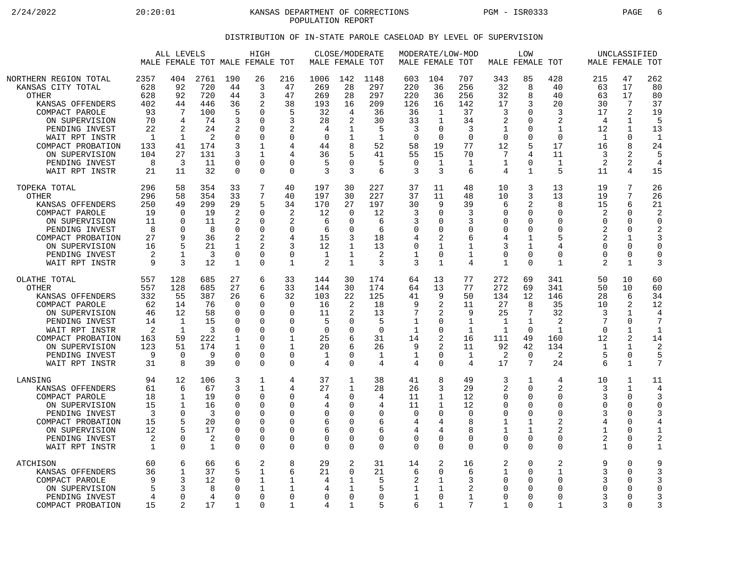2/24/2022 20:20:01 KANSAS DEPARTMENT OF CORRECTIONS PGM - ISR0333 PAGE 6 POPULATION REPORT

## DISTRIBUTION OF IN-STATE PAROLE CASELOAD BY LEVEL OF SUPERVISION

|                                                                                                                                                                                                                                   |                                                                                      | ALL LEVELS                                                                                           |                                                                             |                                                                               | HIGH<br>MALE FEMALE TOT MALE FEMALE TOT                                                                       |                                                                                                            | MALE FEMALE TOT                                                                 | CLOSE/MODERATE                                                               |                                                                                  |                                                                                    | MODERATE/LOW-MOD<br>MALE FEMALE TOT                                                      |                                                                                   |                                                                                  | LOW<br>MALE FEMALE TOT                                                                                  |                                                                                                           |                                                                                                | UNCLASSIFIED<br>MALE FEMALE TOT                                                                   |                                                                                        |
|-----------------------------------------------------------------------------------------------------------------------------------------------------------------------------------------------------------------------------------|--------------------------------------------------------------------------------------|------------------------------------------------------------------------------------------------------|-----------------------------------------------------------------------------|-------------------------------------------------------------------------------|---------------------------------------------------------------------------------------------------------------|------------------------------------------------------------------------------------------------------------|---------------------------------------------------------------------------------|------------------------------------------------------------------------------|----------------------------------------------------------------------------------|------------------------------------------------------------------------------------|------------------------------------------------------------------------------------------|-----------------------------------------------------------------------------------|----------------------------------------------------------------------------------|---------------------------------------------------------------------------------------------------------|-----------------------------------------------------------------------------------------------------------|------------------------------------------------------------------------------------------------|---------------------------------------------------------------------------------------------------|----------------------------------------------------------------------------------------|
| NORTHERN REGION TOTAL<br>KANSAS CITY TOTAL<br><b>OTHER</b><br>KANSAS OFFENDERS<br>COMPACT PAROLE<br>ON SUPERVISION<br>PENDING INVEST<br>WAIT RPT INSTR<br>COMPACT PROBATION<br>ON SUPERVISION<br>PENDING INVEST<br>WAIT RPT INSTR | 2357<br>628<br>628<br>402<br>93<br>70<br>22<br>$\mathbf{1}$<br>133<br>104<br>8<br>21 | 404<br>92<br>92<br>44<br>7<br>4<br>2<br>$\mathbf{1}$<br>41<br>27<br>3<br>11                          | 2761<br>720<br>720<br>446<br>100<br>74<br>24<br>2<br>174<br>131<br>11<br>32 | 190<br>44<br>44<br>36<br>.5<br>3<br>2<br>$\Omega$<br>3<br>3<br>$\Omega$<br>0  | 26<br>3<br>3<br>2<br>$\Omega$<br>$\mathbf 0$<br>$\Omega$<br>$\Omega$<br>1<br>1<br>$\Omega$<br>$\Omega$        | 216<br>47<br>47<br>38<br>5<br>3<br>2<br>$\mathbf 0$<br>4<br>4<br>$\mathbf 0$<br>$\mathbf 0$                | 1006<br>269<br>269<br>193<br>32<br>28<br>4<br>$\mathbf 0$<br>44<br>36<br>5<br>3 | 142<br>28<br>28<br>16<br>4<br>2<br>1<br>1<br>8<br>$\Omega$<br>3              | 1148<br>297<br>297<br>209<br>36<br>30<br>5<br>$\mathbf{1}$<br>52<br>41<br>5<br>6 | 603<br>220<br>220<br>126<br>36<br>33<br>3<br>$\Omega$<br>58<br>55<br>$\Omega$<br>3 | 104<br>36<br>36<br>16<br>1<br>$\mathbf{1}$<br>$\Omega$<br>$\Omega$<br>19<br>15<br>1<br>3 | 707<br>256<br>256<br>142<br>37<br>34<br>3<br>$\Omega$<br>77<br>70<br>1<br>6       | 343<br>32<br>32<br>17<br>3<br>2<br>1<br>$\Omega$<br>12<br>7<br>$\mathbf{1}$<br>4 | 85<br>8<br>8<br>3<br>$\Omega$<br>$\Omega$<br>$\Omega$<br>$\Omega$<br>5<br>4<br>$\Omega$<br>$\mathbf{1}$ | 428<br>40<br>40<br>20<br>3<br>$\overline{2}$<br>$\mathbf{1}$<br>$\Omega$<br>17<br>11<br>$\mathbf{1}$<br>5 | 215<br>63<br>63<br>30<br>17<br>4<br>12<br>$\mathbf{1}$<br>16<br>3<br>2<br>11                   | 47<br>17<br>17<br>7<br>2<br>1<br>1<br>0<br>8<br>2<br>2<br>4                                       | 262<br>80<br>80<br>37<br>19<br>5<br>13<br>$\mathbf{1}$<br>24<br>5<br>4<br>15           |
| TOPEKA TOTAL<br><b>OTHER</b><br>KANSAS OFFENDERS<br>COMPACT PAROLE<br>ON SUPERVISION<br>PENDING INVEST<br>COMPACT PROBATION<br>ON SUPERVISION<br>PENDING INVEST<br>WAIT RPT INSTR                                                 | 296<br>296<br>250<br>19<br>11<br>8<br>27<br>16<br>2<br>9                             | 58<br>58<br>49<br>$\Omega$<br>$\cap$<br>$\Omega$<br>9<br>1<br>3                                      | 354<br>354<br>299<br>19<br>11<br>8<br>36<br>21<br>3<br>12                   | 33<br>33<br>29<br>$\overline{2}$<br>2<br>0<br>2<br>1<br>0<br>1                | 7<br>7<br>5<br>$\Omega$<br>$\Omega$<br>$\mathbf 0$<br>2<br>$\overline{c}$<br>$\mathbf 0$<br>$\Omega$          | 40<br>40<br>34<br>$\overline{2}$<br>2<br>$\mathbf 0$<br>4<br>3<br>$\mathbf 0$<br>$\mathbf{1}$              | 197<br>197<br>170<br>12<br>6<br>6<br>15<br>12<br>1<br>2                         | 30<br>30<br>27<br>$\Omega$<br>$\Omega$<br>$\Omega$<br>1<br>1<br>1            | 227<br>227<br>197<br>12<br>6<br>6<br>18<br>13<br>2<br>3                          | 37<br>37<br>30<br>3<br>3<br>0<br>4<br>$\mathbf 0$<br>1<br>3                        | 11<br>11<br>9<br>$\Omega$<br>$\Omega$<br>0<br>2<br>1<br>0<br>$\mathbf{1}$                | 48<br>48<br>39<br>3<br>3<br>$\mathbf 0$<br>6<br>1<br>$\mathbf 1$<br>4             | 10<br>10<br>6<br>$\Omega$<br>$\Omega$<br>0<br>4<br>3<br>0<br>1                   | 3<br>3<br>2<br>$\Omega$<br>$\Omega$<br>0<br>1<br>1<br>$\mathbf 0$<br>$\Omega$                           | 13<br>13<br>8<br>$\Omega$<br>$\Omega$<br>0<br>5<br>4<br>$\Omega$<br>1                                     | 19<br>19<br>15<br>$\overline{2}$<br>$\cap$<br>2<br>2<br>$\Omega$<br>$\Omega$<br>$\overline{2}$ | 7<br>7<br>6<br>$\Omega$<br>$\Omega$<br>$\mathbf 0$<br>1<br>$\Omega$<br>0<br>1                     | 26<br>26<br>21<br>$\overline{c}$<br>$\Omega$<br>2<br>3<br>$\Omega$<br>$\mathbf 0$<br>3 |
| OLATHE TOTAL<br>OTHER<br>KANSAS OFFENDERS<br>COMPACT PAROLE<br>ON SUPERVISION<br>PENDING INVEST<br>WAIT RPT INSTR<br>COMPACT PROBATION<br>ON SUPERVISION<br>PENDING INVEST<br>WAIT RPT INSTR                                      | 557<br>557<br>332<br>62<br>46<br>14<br>$\mathfrak{D}$<br>163<br>123<br>9<br>31       | 128<br>128<br>55<br>14<br>12<br>$\mathbf{1}$<br>$\mathbf{1}$<br>59<br>51<br>$\Omega$<br>$\mathsf{R}$ | 685<br>685<br>387<br>76<br>58<br>15<br>3<br>222<br>174<br>9<br>39           | 27<br>27<br>26<br>$\Omega$<br>$\Omega$<br>O<br>∩<br>1<br>$\Omega$<br>$\Omega$ | 6<br>6<br>6<br>$\Omega$<br>0<br>$\mathbf 0$<br>$\Omega$<br>$\mathbf 0$<br>$\Omega$<br>$\mathbf 0$<br>$\Omega$ | 33<br>33<br>32<br>$\Omega$<br>0<br>$\mathbf 0$<br>$\Omega$<br>$\mathbf{1}$<br>1<br>$\mathbf 0$<br>$\Omega$ | 144<br>144<br>103<br>16<br>11<br>5<br>$\Omega$<br>25<br>20<br>1<br>4            | 30<br>30<br>22<br>2<br>O<br>$\Omega$<br>6<br>6<br>$\Omega$<br>$\Omega$       | 174<br>174<br>125<br>18<br>13<br>5<br>$\Omega$<br>31<br>26<br>$\mathbf{1}$<br>4  | 64<br>64<br>41<br>9<br>7<br>$\mathbf 1$<br>1<br>14<br>9<br>$\mathbf 1$<br>4        | 13<br>13<br>9<br>2<br>2<br>0<br>$\Omega$<br>2<br>2<br>0<br>$\Omega$                      | 77<br>77<br>50<br>11<br>9<br>$\mathbf 1$<br>$\mathbf{1}$<br>16<br>11<br>1<br>4    | 272<br>272<br>134<br>27<br>25<br>$\mathbf{1}$<br>1<br>111<br>92<br>2<br>17       | 69<br>69<br>12<br>8<br>7<br>$\mathbf 1$<br>$\Omega$<br>49<br>42<br>$\Omega$<br>7                        | 341<br>341<br>146<br>35<br>32<br>$\overline{2}$<br>$\mathbf{1}$<br>160<br>134<br>2<br>24                  | 50<br>50<br>28<br>10<br>3<br>$\cap$<br>12<br>-1<br>5<br>6                                      | 10<br>10<br>6<br>2<br>$\mathbf 1$<br>0<br>1<br>2<br>1<br>0<br>$\mathbf{1}$                        | 60<br>60<br>34<br>12<br>4<br>$\mathbf{1}$<br>14<br>$\overline{2}$<br>5<br>7            |
| LANSING<br>KANSAS OFFENDERS<br>COMPACT PAROLE<br>ON SUPERVISION<br>PENDING INVEST<br>COMPACT PROBATION<br>ON SUPERVISION<br>PENDING INVEST<br>WAIT RPT INSTR                                                                      | 94<br>61<br>18<br>15<br>3<br>15<br>12<br>2<br>$\mathbf{1}$                           | 12<br>6<br>-1<br>1<br>$\Omega$<br>5<br>$\Omega$<br>$\Omega$                                          | 106<br>67<br>19<br>16<br>3<br>20<br>17<br>2<br>1                            | 3<br>3<br>O<br>$\Omega$<br>O<br>$\Omega$<br>$\Omega$<br>$\Omega$<br>0         | 1<br>$\mathbf{1}$<br>0<br>$\mathbf 0$<br>$\Omega$<br>$\Omega$<br>$\Omega$<br>0<br>$\Omega$                    | 4<br>4<br>0<br>$\mathbf 0$<br>$\Omega$<br>0<br>$\mathbf 0$<br>$\mathbf 0$<br>$\mathbf 0$                   | 37<br>27<br>4<br>4<br>0<br>6<br>6<br>0<br>0                                     | 1<br>1<br>O<br>$\Omega$<br>O<br>$\Omega$<br>$\Omega$<br>$\Omega$<br>$\Omega$ | 38<br>28<br>4<br>4<br>$\Omega$<br>6<br>6<br>$\mathbf 0$<br>$\Omega$              | 41<br>26<br>11<br>11<br>$\Omega$<br>4<br>4<br>$\mathbf 0$<br>$\overline{0}$        | 8<br>3<br>1<br>1<br>$\Omega$<br>4<br>4<br>0<br>0                                         | 49<br>29<br>12<br>12<br><sup>0</sup><br>8<br>$\mathsf{R}$<br>$\Omega$<br>$\Omega$ | 3<br>2<br>0<br>$\Omega$<br>$\Omega$<br>1<br>1<br>$\Omega$<br>$\Omega$            | 1<br>$\Omega$<br>$\Omega$<br>$\mathbf 0$<br>$\Omega$<br>1<br>$\mathbf 1$<br>$\Omega$<br>$\Omega$        | 4<br>$\overline{2}$<br>0<br>0<br>$\Omega$<br>2<br>$\overline{2}$<br>$\Omega$<br>$\Omega$                  | 10<br>3<br>3<br>$\Omega$<br>3<br>4<br>$\mathbf{1}$<br>$\overline{c}$<br>1                      | 1<br>$\mathbf{1}$<br>0<br>$\Omega$<br>$\Omega$<br>$\Omega$<br>$\Omega$<br>$\Omega$<br>$\mathbf 0$ | 11<br>4<br>3<br>$\Omega$<br>4<br>1<br>2<br>$\mathbf{1}$                                |
| ATCHISON<br>KANSAS OFFENDERS<br>COMPACT PAROLE<br>ON SUPERVISION<br>PENDING INVEST<br>COMPACT PROBATION                                                                                                                           | 60<br>36<br>q<br>5<br>4<br>15                                                        | 6<br>$\mathbf{1}$<br>3<br>3<br>$\cap$<br>$\overline{2}$                                              | 66<br>37<br>12<br>8<br>4<br>17                                              | 6<br>5<br>∩<br>O<br>∩<br>1                                                    | $\overline{2}$<br>1<br>1<br>1<br>$\mathbf 0$<br>$\Omega$                                                      | 8<br>6<br>1<br>1<br>$\mathbf 0$<br>1                                                                       | 29<br>21<br>4<br>4<br>$\Omega$<br>4                                             | $\overline{2}$<br>$\Omega$<br>1<br>1<br>0<br>1                               | 31<br>21<br>5<br>5<br>$\mathbf 0$<br>5                                           | 14<br>6<br>2<br>1<br>$\mathbf 1$<br>6                                              | 2<br>0<br>1<br>1<br>0<br>1                                                               | 16<br>6<br>3<br>2<br>1<br>7                                                       | 2<br>1<br>$\Omega$<br>$\Omega$<br>0<br>1                                         | $\Omega$<br>$\Omega$<br>$\Omega$<br>$\Omega$<br>$\mathbf 0$<br>$\Omega$                                 | 2<br>1<br>$\Omega$<br>$\Omega$<br>$\mathbf 0$<br>$\mathbf{1}$                                             | 9<br>3<br>3<br>$\Omega$<br>3<br>3                                                              | $\mathbf 0$<br>$\Omega$<br>0<br>$\Omega$<br>0<br>$\Omega$                                         | 9<br>3<br>3<br>$\Omega$<br>3<br>3                                                      |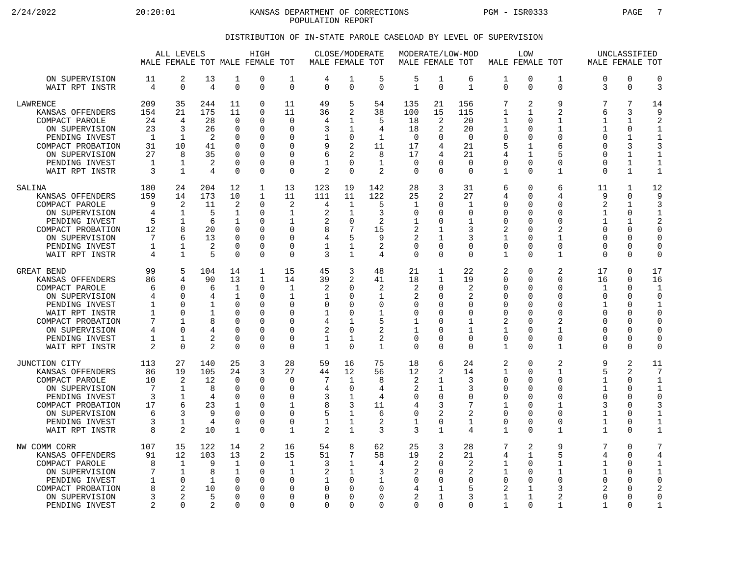2/24/2022 20:20:01 KANSAS DEPARTMENT OF CORRECTIONS PGM - ISR0333 PAGE 7 POPULATION REPORT

## DISTRIBUTION OF IN-STATE PAROLE CASELOAD BY LEVEL OF SUPERVISION

|                                                                                                                                                                                          |                                                    | ALL LEVELS                                                                               |                                                           |                                                                                               | HIGH<br>MALE FEMALE TOT MALE FEMALE TOT                                              |                                                                                               | MALE FEMALE TOT                                        | CLOSE/MODERATE                                                                                      |                                                                                          |                                                                      | MODERATE/LOW-MOD<br>MALE FEMALE TOT                                   |                                                                           |                                                                                              | LOW<br>MALE FEMALE TOT                                                                                 |                                                                                                |                                                                                     | UNCLASSIFIED<br>MALE FEMALE TOT                                                          |                                                                                                                 |
|------------------------------------------------------------------------------------------------------------------------------------------------------------------------------------------|----------------------------------------------------|------------------------------------------------------------------------------------------|-----------------------------------------------------------|-----------------------------------------------------------------------------------------------|--------------------------------------------------------------------------------------|-----------------------------------------------------------------------------------------------|--------------------------------------------------------|-----------------------------------------------------------------------------------------------------|------------------------------------------------------------------------------------------|----------------------------------------------------------------------|-----------------------------------------------------------------------|---------------------------------------------------------------------------|----------------------------------------------------------------------------------------------|--------------------------------------------------------------------------------------------------------|------------------------------------------------------------------------------------------------|-------------------------------------------------------------------------------------|------------------------------------------------------------------------------------------|-----------------------------------------------------------------------------------------------------------------|
| ON SUPERVISION<br>WAIT RPT INSTR                                                                                                                                                         | 11<br>4                                            | 2<br>$\mathbf 0$                                                                         | 13<br>4                                                   | 1<br>$\mathbf 0$                                                                              | 0<br>0                                                                               | 1<br>$\mathbf 0$                                                                              | 4<br>$\Omega$                                          | 1<br>$\mathbf 0$                                                                                    | 5<br>$\Omega$                                                                            | 5<br>$\mathbf{1}$                                                    | 1<br>$\Omega$                                                         | 6<br>$\mathbf{1}$                                                         | 1<br>$\Omega$                                                                                | $\mathbf 0$<br>$\Omega$                                                                                | 1<br>0                                                                                         | $\Omega$<br>3                                                                       | $\mathbf 0$<br>$\mathbf 0$                                                               | $\mathbf 0$<br>3                                                                                                |
| <b>LAWRENCE</b><br>KANSAS OFFENDERS<br>COMPACT PAROLE<br>ON SUPERVISION<br>PENDING INVEST<br>COMPACT PROBATION<br>ON SUPERVISION<br>PENDING INVEST<br>WAIT RPT INSTR                     | 209<br>154<br>24<br>23<br>1<br>31<br>27<br>1<br>3  | 35<br>21<br>4<br>3<br>1<br>10<br>8<br>$\mathbf 1$<br>$\mathbf{1}$                        | 244<br>175<br>28<br>26<br>2<br>41<br>35<br>2<br>4         | 11<br>11<br>$\mathbf 0$<br>0<br>0<br>$\Omega$<br>$\Omega$<br>$\mathbf 0$<br>$\Omega$          | 0<br>0<br>0<br>0<br>$\Omega$<br>$\Omega$<br>0<br>0<br>0                              | 11<br>11<br>$\mathbf 0$<br>$\Omega$<br>∩<br>$\Omega$<br>$\Omega$<br>$\Omega$<br>$\Omega$      | 49<br>36<br>4<br>3<br>9<br>6<br>$\overline{2}$         | 5<br>2<br>1<br>1<br>0<br>$\overline{2}$<br>2<br>$\Omega$<br>$\Omega$                                | 54<br>38<br>5<br>4<br>$\mathbf{1}$<br>11<br>8<br>$\mathbf 1$<br>2                        | 135<br>100<br>18<br>18<br>0<br>17<br>17<br>$\mathbf 0$<br>$\Omega$   | 21<br>15<br>2<br>2<br>U<br>4<br>4<br>$\Omega$<br>$\Omega$             | 156<br>115<br>20<br>20<br>$\mathbf 0$<br>21<br>21<br>$\Omega$<br>$\Omega$ | 7<br>1<br>1<br>1<br>0<br>5<br>4<br>0<br>$\mathbf{1}$                                         | $\overline{2}$<br>1<br>$\Omega$<br>$\Omega$<br>0<br>$\mathbf 1$<br>1<br>0<br>$\Omega$                  | 9<br>$\overline{a}$<br>$\mathbf{1}$<br>1<br>$\Omega$<br>6<br>5<br>0<br>$\mathbf{1}$            | 7<br>6<br>$\mathbf{1}$<br>1<br>∩<br>$\Omega$<br>$\Omega$<br>$\Omega$<br>$\Omega$    | 7<br>3<br>$\mathbf{1}$<br>0<br>1<br>3<br>1<br>$\mathbf{1}$<br>$\mathbf{1}$               | 14<br>9<br>$\overline{2}$<br>1<br>$\mathbf{1}$<br>3<br>1<br>$\mathbf 1$<br>$\mathbf{1}$                         |
| SALINA<br>KANSAS OFFENDERS<br>COMPACT PAROLE<br>ON SUPERVISION<br>PENDING INVEST<br>COMPACT PROBATION<br>ON SUPERVISION<br>PENDING INVEST<br>WAIT RPT INSTR                              | 180<br>159<br>9<br>4<br>5<br>12<br>7<br>1<br>4     | 24<br>14<br>2<br>$\mathbf{1}$<br>1<br>8<br>6<br>1<br>$\mathbf{1}$                        | 204<br>173<br>11<br>5<br>6<br>20<br>13<br>2<br>5          | 12<br>10<br>2<br>$\mathbf{1}$<br>1<br>$\Omega$<br>$\mathbf 0$<br>0<br>$\Omega$                | 1<br>$\mathbf 1$<br>0<br>0<br>0<br>0<br>0<br>0<br>0                                  | 13<br>11<br>2<br>1<br>1<br>$\Omega$<br>$\Omega$<br>0<br>$\Omega$                              | 123<br>111<br>4<br>2<br>2<br>8<br>4<br>1<br>3          | 19<br>11<br>1<br>1<br>$\mathbf 0$<br>7<br>5<br>1<br>$\mathbf{1}$                                    | 142<br>122<br>5<br>3<br>$\overline{c}$<br>15<br>9<br>2<br>4                              | 28<br>25<br>1<br>$\Omega$<br>1<br>2<br>2<br>0<br>$\Omega$            | 3<br>2<br>$\Omega$<br>O<br>$\Omega$<br>1<br>1<br>$\Omega$<br>$\Omega$ | 31<br>27<br>1<br>$\Omega$<br>$\mathbf{1}$<br>3<br>3<br>0<br>$\Omega$      | 6<br>4<br>0<br>$\Omega$<br>$\mathbf 0$<br>2<br>$\mathbf{1}$<br>0<br>$\mathbf{1}$             | $\Omega$<br>∩<br>$\Omega$<br>$\Omega$<br>$\Omega$<br>$\Omega$<br>$\Omega$<br>0<br>$\Omega$             | 6<br>4<br>0<br>$\Omega$<br>0<br>$\mathfrak{D}$<br>1<br>0<br>$\mathbf{1}$                       | 11<br>9<br>$\overline{2}$<br>1<br>1<br>$\Omega$<br>$\Omega$<br>$\Omega$<br>$\Omega$ | 1<br>$\Omega$<br>$\mathbf{1}$<br>$\Omega$<br>1<br>0<br>0<br>0<br>$\Omega$                | 12<br>9<br>3<br>1<br>2<br>$\Omega$<br>$\mathbf 0$<br>0<br>$\Omega$                                              |
| <b>GREAT BEND</b><br>KANSAS OFFENDERS<br>COMPACT PAROLE<br>ON SUPERVISION<br>PENDING INVEST<br>WAIT RPT INSTR<br>COMPACT PROBATION<br>ON SUPERVISION<br>PENDING INVEST<br>WAIT RPT INSTR | 99<br>86<br>6<br>4<br>1<br>1<br>7<br>4<br>1<br>2   | 5<br>4<br>$\Omega$<br>$\Omega$<br>$\Omega$<br>$\Omega$<br>1<br>$\Omega$<br>1<br>$\Omega$ | 104<br>90<br>6<br>4<br>1<br>1<br>8<br>$\overline{2}$<br>2 | 14<br>13<br>1<br>1<br>$\Omega$<br>$\Omega$<br>$\Omega$<br>$\Omega$<br>$\mathbf 0$<br>$\Omega$ | 1<br>$\mathbf 1$<br>0<br>0<br>$\Omega$<br>$\Omega$<br>0<br>$\Omega$<br>$\Omega$<br>0 | 15<br>14<br>1<br>1<br>$\Omega$<br>$\Omega$<br>$\Omega$<br>$\Omega$<br>$\mathbf 0$<br>$\Omega$ | 45<br>39<br>2<br>0<br>1<br>4<br>2<br>1<br>1            | 3<br>2<br>$\Omega$<br>$\Omega$<br>$\Omega$<br>$\Omega$<br>1<br>$\Omega$<br>$\mathbf{1}$<br>$\Omega$ | 48<br>41<br>2<br>$\mathbf{1}$<br>$\Omega$<br>$\mathbf{1}$<br>5<br>2<br>2<br>$\mathbf{1}$ | 21<br>18<br>2<br>2<br>0<br>0<br>1<br>1<br>$\mathbf 0$<br>$\mathbf 0$ | 1<br>$\mathbf{1}$<br>O<br>U<br>U<br>O<br>O<br>U<br>0<br>$\Omega$      | 22<br>19<br>2<br>2<br>$\Omega$<br>$\Omega$<br>1<br>1<br>0<br>$\Omega$     | 2<br>0<br>0<br>0<br>0<br>$\Omega$<br>2<br>1<br>$\mathbf 0$<br>1                              | $\Omega$<br>$\Omega$<br>$\Omega$<br>∩<br>∩<br>$\Omega$<br>$\Omega$<br>$\Omega$<br>$\Omega$<br>$\Omega$ | 2<br>$\Omega$<br>$\Omega$<br>$\Omega$<br>$\Omega$<br>$\Omega$<br>2<br>1<br>$\mathbf 0$<br>1    | 17<br>16<br>1<br>$\Omega$<br>1<br>$\Omega$<br>$\Omega$<br>∩<br>$\Omega$<br>$\Omega$ | $\Omega$<br>$\Omega$<br>0<br>0<br>$\Omega$<br>$\Omega$<br>0<br>$\Omega$<br>0<br>$\Omega$ | 17<br>16<br>-1<br>$\mathbf 0$<br>$\mathbf{1}$<br>$\Omega$<br>$\mathbf 0$<br>$\mathbf 0$<br>$\Omega$<br>$\Omega$ |
| JUNCTION CITY<br>KANSAS OFFENDERS<br>COMPACT PAROLE<br>ON SUPERVISION<br>PENDING INVEST<br>COMPACT PROBATION<br>ON SUPERVISION<br>PENDING INVEST<br>WAIT RPT INSTR                       | 113<br>86<br>10<br>7<br>3<br>17<br>6<br>3<br>8     | 27<br>19<br>2<br>$\mathbf{1}$<br>1<br>6<br>3<br>1<br>2                                   | 140<br>105<br>12<br>8<br>4<br>23<br>9<br>4<br>10          | 25<br>24<br>$\mathbf 0$<br>$\Omega$<br>$\mathbf 0$<br>1<br>$\Omega$<br>$\overline{0}$<br>1    | 3<br>3<br>0<br>0<br>$\Omega$<br>$\Omega$<br>$\Omega$<br>0<br>$\Omega$                | 28<br>27<br>$\Omega$<br>$\Omega$<br>$\mathbf 0$<br>-1<br>$\Omega$<br>$\mathbf 0$<br>1         | 59<br>44<br>7<br>4<br>3<br>8<br>5<br>1<br>2            | 16<br>12<br>1<br>$\Omega$<br>$\mathbf 1$<br>3<br>$\mathbf 1$<br>$\mathbf{1}$<br>$\mathbf{1}$        | 75<br>56<br>8<br>4<br>4<br>11<br>6<br>$\overline{a}$<br>3                                | 18<br>12<br>2<br>2<br>0<br>4<br>0<br>$\mathbf{1}$<br>3               | 6<br>2<br>1<br>1<br>$\Omega$<br>3<br>2<br>0<br>$\mathbf{1}$           | 24<br>14<br>3<br>3<br>0<br>7<br>2<br>$\mathbf{1}$<br>4                    | $\overline{2}$<br>$\mathbf 1$<br>0<br>$\Omega$<br>$\mathbf 0$<br>1<br>0<br>0<br>$\mathbf{1}$ | $\Omega$<br>$\Omega$<br>$\Omega$<br>∩<br>$\Omega$<br>$\Omega$<br>∩<br>$\Omega$<br>$\Omega$             | $\overline{2}$<br>$\mathbf{1}$<br>0<br>$\Omega$<br>$\Omega$<br>-1<br>$\Omega$<br>$\Omega$<br>1 | 9<br>5<br>$\mathbf{1}$<br>1<br>$\Omega$<br>3<br>1<br>1<br>1                         | $\overline{2}$<br>2<br>$\mathbf 0$<br>$\Omega$<br>0<br>$\Omega$<br>0<br>0<br>$\Omega$    | 11<br>7<br>$1\,$<br>1<br>$\mathbf 0$<br>3<br>1<br>$1\,$<br>$1\,$                                                |
| NW COMM CORR<br>KANSAS OFFENDERS<br>COMPACT PAROLE<br>ON SUPERVISION<br>PENDING INVEST<br>COMPACT PROBATION<br>ON SUPERVISION<br>PENDING INVEST                                          | 107<br>91<br>8<br>7<br>$\mathbf{1}$<br>8<br>3<br>2 | 15<br>12<br>1<br>1<br>$\mathbf 0$<br>2<br>2<br>$\Omega$                                  | 122<br>103<br>9<br>8<br>1<br>10<br>5<br>$\mathfrak{D}$    | 14<br>13<br>1<br>1<br>$\mathbf 0$<br>$\Omega$<br>$\Omega$<br>$\Omega$                         | 2<br>2<br>0<br>0<br>0<br>$\Omega$<br>$\Omega$<br>$\Omega$                            | 16<br>15<br>1<br>1<br>$\Omega$<br>O<br>$\Omega$<br>$\Omega$                                   | 54<br>51<br>3<br>2<br>$\Omega$<br>$\Omega$<br>$\Omega$ | 8<br>7<br>1<br>1<br>0<br>$\Omega$<br>$\Omega$<br>$\Omega$                                           | 62<br>58<br>4<br>3<br>$\mathbf{1}$<br>$\Omega$<br>$\Omega$<br>$\Omega$                   | 25<br>19<br>2<br>2<br>$\mathbf 0$<br>4<br>2<br>$\Omega$              | 3<br>2<br>O<br>U<br>O<br>1<br>1<br>$\Omega$                           | 28<br>21<br>2<br>2<br>0<br>5<br>3<br>$\Omega$                             | 7<br>4<br>1<br>1<br>$\mathbf 0$<br>2<br>$\mathbf{1}$<br>$\mathbf{1}$                         | $\overline{2}$<br>$\mathbf{1}$<br>$\Omega$<br>∩<br>$\Omega$<br>1<br>$\mathbf{1}$<br>$\Omega$           | 9<br>5<br>1<br>1<br>0<br>3<br>2<br>$\mathbf{1}$                                                | 7<br>4<br>1<br>1<br>$\Omega$<br>$\mathfrak{D}$<br>$\Omega$<br>1                     | $\Omega$<br>$\mathbf 0$<br>$\Omega$<br>0<br>0<br>0<br>$\Omega$<br>$\Omega$               | 7<br>4<br>$\mathbf{1}$<br>$\mathbf 1$<br>$\mathbf 0$<br>2<br>$\mathbf 0$<br>$\mathbf{1}$                        |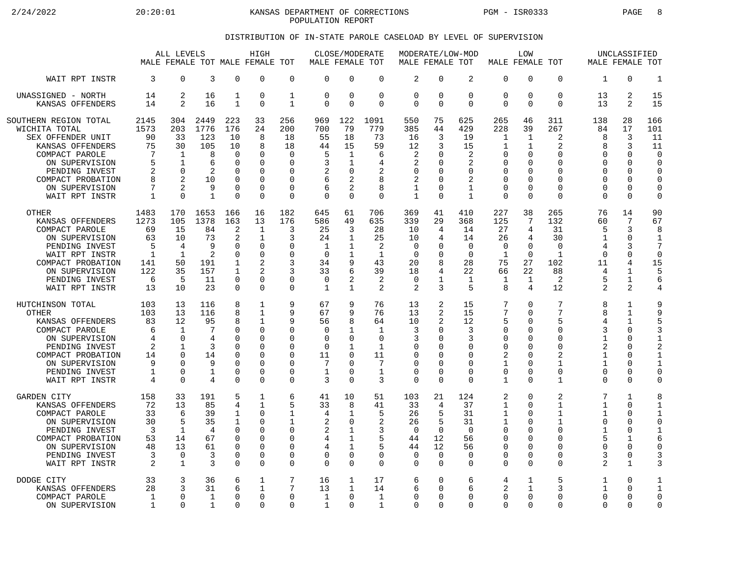2/24/2022 20:20:01 KANSAS DEPARTMENT OF CORRECTIONS PGM - ISR0333 PAGE 8 POPULATION REPORT

## DISTRIBUTION OF IN-STATE PAROLE CASELOAD BY LEVEL OF SUPERVISION

|                                                                                                                                                                                     | ALL LEVELS<br>MALE FEMALE TOT MALE FEMALE TOT                          |                                                         |                                                              |                                                                                                           | HIGH                                                                                                                        |                                                                  |                                                                         | CLOSE/MODERATE<br>MALE FEMALE TOT                                                 |                                                        | MODERATE/LOW-MOD<br>MALE FEMALE TOT                                               |                                             |                                                                                | MALE FEMALE TOT                                                             | LOW                                                             |                                                                 | MALE FEMALE TOT                                          | UNCLASSIFIED                                                                 |                                                                     |
|-------------------------------------------------------------------------------------------------------------------------------------------------------------------------------------|------------------------------------------------------------------------|---------------------------------------------------------|--------------------------------------------------------------|-----------------------------------------------------------------------------------------------------------|-----------------------------------------------------------------------------------------------------------------------------|------------------------------------------------------------------|-------------------------------------------------------------------------|-----------------------------------------------------------------------------------|--------------------------------------------------------|-----------------------------------------------------------------------------------|---------------------------------------------|--------------------------------------------------------------------------------|-----------------------------------------------------------------------------|-----------------------------------------------------------------|-----------------------------------------------------------------|----------------------------------------------------------|------------------------------------------------------------------------------|---------------------------------------------------------------------|
| WAIT RPT INSTR                                                                                                                                                                      | 3                                                                      | $\Omega$                                                | 3                                                            | $\Omega$                                                                                                  | $\Omega$                                                                                                                    | $\mathbf 0$                                                      | $\Omega$                                                                | $\Omega$                                                                          | $\Omega$                                               | $\overline{2}$                                                                    | $\Omega$                                    | 2                                                                              | $\mathbf 0$                                                                 | $\Omega$                                                        | $\Omega$                                                        | $\mathbf{1}$                                             | $\Omega$                                                                     | $\mathbf{1}$                                                        |
| UNASSIGNED - NORTH                                                                                                                                                                  | 14                                                                     | 2                                                       | 16                                                           | 1                                                                                                         | $\Omega$                                                                                                                    | $\mathbf{1}$                                                     | $\mathbf 0$                                                             | $\mathbf 0$                                                                       | $\mathbf{0}$                                           | $\overline{0}$                                                                    | $\Omega$                                    | $\mathbf 0$                                                                    | $\mathbf 0$                                                                 | 0                                                               | $\mathbf 0$                                                     | 13                                                       | 2                                                                            | 15                                                                  |
| KANSAS OFFENDERS                                                                                                                                                                    | 14                                                                     | $\overline{2}$                                          | 16                                                           | $\mathbf 1$                                                                                               | $\Omega$                                                                                                                    | 1                                                                | 0                                                                       | $\Omega$                                                                          | $\Omega$                                               | $\mathbf 0$                                                                       | $\Omega$                                    | $\Omega$                                                                       | $\Omega$                                                                    | $\Omega$                                                        | $\Omega$                                                        | 13                                                       | 2                                                                            | 15                                                                  |
| SOUTHERN REGION TOTAL                                                                                                                                                               | 2145                                                                   | 304                                                     | 2449                                                         | 223                                                                                                       | 33                                                                                                                          | 256                                                              | 969                                                                     | 122                                                                               | 1091                                                   | 550                                                                               | 75                                          | 625                                                                            | 265                                                                         | 46                                                              | 311                                                             | 138                                                      | 28                                                                           | 166                                                                 |
| WICHITA TOTAL                                                                                                                                                                       | 1573                                                                   | 203                                                     | 1776                                                         | 176                                                                                                       | 24                                                                                                                          | 200                                                              | 700                                                                     | 79                                                                                | 779                                                    | 385                                                                               | 44                                          | 429                                                                            | 228                                                                         | 39                                                              | 267                                                             | 84                                                       | 17                                                                           | 101                                                                 |
| SEX OFFENDER UNIT                                                                                                                                                                   | 90                                                                     | 33                                                      | 123                                                          | 10                                                                                                        | 8                                                                                                                           | 18                                                               | 55                                                                      | 18                                                                                | 73                                                     | 16                                                                                | 3                                           | 19                                                                             | 1                                                                           | 1                                                               | $\overline{2}$                                                  | 8                                                        | 3                                                                            | 11                                                                  |
| KANSAS OFFENDERS                                                                                                                                                                    | 75                                                                     | 30                                                      | 105                                                          | 10                                                                                                        | 8                                                                                                                           | 18                                                               | 44                                                                      | 15                                                                                | 59                                                     | 12                                                                                | 3                                           | 15                                                                             | 1                                                                           | 1                                                               | 2                                                               | 8                                                        | 3                                                                            | 11                                                                  |
| COMPACT PAROLE                                                                                                                                                                      | 7                                                                      | 1                                                       | 8                                                            | 0                                                                                                         | $\Omega$                                                                                                                    | $\mathbf 0$                                                      | 5                                                                       | $\mathbf{1}$                                                                      | 6                                                      | 2                                                                                 | 0                                           | 2                                                                              | $\mathbf 0$                                                                 | 0                                                               | $\Omega$                                                        | $\Omega$                                                 | $\mathbf 0$                                                                  | $\mathbf 0$                                                         |
| ON SUPERVISION                                                                                                                                                                      | 5                                                                      | $\mathbf{1}$                                            | 6                                                            | <sup>n</sup>                                                                                              | $\Omega$                                                                                                                    | $\Omega$                                                         | 3                                                                       | $\mathbf{1}$                                                                      | 4                                                      | 2                                                                                 | <sup>0</sup>                                | $\mathfrak{D}$                                                                 | $\Omega$                                                                    | U                                                               | U                                                               | <sup>0</sup>                                             | $\Omega$                                                                     | $\Omega$                                                            |
| PENDING INVEST                                                                                                                                                                      | 2                                                                      | $\Omega$                                                | 2                                                            | $\Omega$                                                                                                  | $\Omega$                                                                                                                    | $\Omega$                                                         | 2                                                                       | $\Omega$                                                                          | 2                                                      | $\mathbf 0$                                                                       | $\Omega$                                    | $\Omega$                                                                       | $\mathbf 0$                                                                 | U                                                               | $\Omega$                                                        | $\Omega$                                                 | $\Omega$                                                                     | $\Omega$                                                            |
| COMPACT PROBATION                                                                                                                                                                   | 8                                                                      | $\mathfrak{D}$                                          | 10                                                           | $\Omega$                                                                                                  | $\Omega$                                                                                                                    | $\Omega$                                                         | 6                                                                       | 2                                                                                 | 8                                                      | 2                                                                                 | <sup>0</sup>                                | 2                                                                              | $\Omega$                                                                    | $\Omega$                                                        | $\Omega$                                                        | O                                                        | $\Omega$                                                                     | $\mathbf 0$                                                         |
| ON SUPERVISION                                                                                                                                                                      | 7                                                                      | $\overline{2}$                                          | 9                                                            | $\Omega$                                                                                                  | $\Omega$                                                                                                                    | 0                                                                | 6                                                                       | 2                                                                                 | 8                                                      | 1                                                                                 | $\Omega$                                    | $\mathbf 1$                                                                    | $\Omega$                                                                    | U                                                               | $\Omega$                                                        | 0                                                        | $\Omega$                                                                     | $\mathbf 0$                                                         |
| WAIT RPT INSTR                                                                                                                                                                      | $\mathbf{1}$                                                           | $\Omega$                                                | $\mathbf{1}$                                                 | $\Omega$                                                                                                  | $\Omega$                                                                                                                    | $\Omega$                                                         | $\Omega$                                                                | $\Omega$                                                                          | $\Omega$                                               | $\mathbf{1}$                                                                      | $\Omega$                                    | $\mathbf{1}$                                                                   | $\Omega$                                                                    | $\Omega$                                                        | $\Omega$                                                        | $\Omega$                                                 | $\Omega$                                                                     | $\mathbf 0$                                                         |
| <b>OTHER</b><br>KANSAS OFFENDERS<br>COMPACT PAROLE<br>ON SUPERVISION<br>PENDING INVEST<br>WAIT RPT INSTR<br>COMPACT PROBATION<br>ON SUPERVISION<br>PENDING INVEST<br>WAIT RPT INSTR | 1483<br>1273<br>69<br>63<br>5<br>$\mathbf{1}$<br>141<br>122<br>6<br>13 | 170<br>105<br>15<br>10<br>4<br>1<br>50<br>35<br>5<br>10 | 1653<br>1378<br>84<br>73<br>9<br>2<br>191<br>157<br>11<br>23 | 166<br>163<br>$\overline{a}$<br>2<br>$\Omega$<br><sup>n</sup><br>$\mathbf 1$<br>1<br>$\Omega$<br>$\Omega$ | 16<br>13<br>$\mathbf{1}$<br>$\mathbf 1$<br>$\Omega$<br>$\Omega$<br>$\overline{2}$<br>$\mathfrak{D}$<br>$\Omega$<br>$\Omega$ | 182<br>176<br>3<br>3<br>0<br>$\Omega$<br>3<br>ζ<br>0<br>$\Omega$ | 645<br>586<br>25<br>24<br>1<br>$\Omega$<br>34<br>33<br>$\mathbf 0$<br>1 | 61<br>49<br>3<br>$\mathbf{1}$<br>$\mathbf{1}$<br>1<br>9<br>6<br>2<br>$\mathbf{1}$ | 706<br>635<br>28<br>25<br>2<br>1<br>43<br>39<br>2<br>2 | 369<br>339<br>10<br>10<br>$\mathbf 0$<br>$\Omega$<br>20<br>18<br>$\mathbf 0$<br>2 | 41<br>29<br>4<br>4<br>O<br>∩<br>8<br>4<br>3 | 410<br>368<br>14<br>14<br>$\Omega$<br>$\Omega$<br>28<br>22<br>$\mathbf 1$<br>5 | 227<br>125<br>27<br>26<br>$\mathbf 0$<br>$\mathbf{1}$<br>75<br>66<br>1<br>8 | 38<br>7<br>4<br>4<br>$\Omega$<br>$\Omega$<br>27<br>22<br>1<br>4 | 265<br>132<br>31<br>30<br>$\Omega$<br>1<br>102<br>88<br>2<br>12 | 76<br>60<br>5<br>1<br>4<br>$\Omega$<br>11<br>4<br>5<br>2 | 14<br>7<br>3<br>0<br>3<br>$\Omega$<br>4<br>$\mathbf{1}$<br>$\mathbf{1}$<br>2 | 90<br>67<br>8<br>$\mathbf{1}$<br>7<br>$\Omega$<br>15<br>5<br>6<br>4 |
| HUTCHINSON TOTAL                                                                                                                                                                    | 103                                                                    | 13                                                      | 116                                                          | 8                                                                                                         | 1                                                                                                                           | 9                                                                | 67                                                                      | 9                                                                                 | 76                                                     | 13                                                                                | 2                                           | 15                                                                             | 7                                                                           | $\Omega$                                                        | 7                                                               | 8                                                        | 1                                                                            | 9                                                                   |
| <b>OTHER</b>                                                                                                                                                                        | 103                                                                    | 13                                                      | 116                                                          | 8                                                                                                         | $\mathbf{1}$                                                                                                                | 9                                                                | 67                                                                      | 9                                                                                 | 76                                                     | 13                                                                                | 2                                           | 15                                                                             | 7                                                                           | $\Omega$                                                        | 7                                                               | 8                                                        | $\mathbf{1}$                                                                 | 9                                                                   |
| KANSAS OFFENDERS                                                                                                                                                                    | 83                                                                     | 12                                                      | 95                                                           | 8                                                                                                         | 1                                                                                                                           | 9                                                                | 56                                                                      | 8                                                                                 | 64                                                     | 10                                                                                | 2                                           | 12                                                                             | 5                                                                           | $\Omega$                                                        | 5                                                               | 4                                                        | 1                                                                            | 5                                                                   |
| COMPACT PAROLE                                                                                                                                                                      | 6                                                                      | $\mathbf{1}$                                            | 7                                                            | U                                                                                                         | $\Omega$                                                                                                                    | 0                                                                | $\mathbf 0$                                                             | 1                                                                                 | $\mathbf{1}$                                           | 3                                                                                 | 0                                           | 3                                                                              | $\Omega$                                                                    | $\Omega$                                                        | $\Omega$                                                        | 3                                                        | 0                                                                            | 3                                                                   |
| ON SUPERVISION                                                                                                                                                                      | 4                                                                      | $\Omega$                                                | 4                                                            | U                                                                                                         | $\Omega$                                                                                                                    | 0                                                                | $\Omega$                                                                | $\Omega$                                                                          | $\Omega$                                               | 3                                                                                 | <sup>0</sup>                                | 3                                                                              | 0                                                                           | U                                                               | $\Omega$                                                        | $\mathbf{1}$                                             | $\Omega$                                                                     | $\mathbf{1}$                                                        |
| PENDING INVEST                                                                                                                                                                      | 2                                                                      | 1                                                       | 3                                                            | $\Omega$                                                                                                  | $\Omega$                                                                                                                    | 0                                                                | 0                                                                       | $\mathbf{1}$                                                                      | $\mathbf{1}$                                           | 0                                                                                 | ∩                                           | 0                                                                              | 0                                                                           | 0                                                               | $\Omega$                                                        | 2                                                        | 0                                                                            | $\overline{2}$                                                      |
| COMPACT PROBATION                                                                                                                                                                   | 14                                                                     | $\Omega$                                                | 14                                                           | O                                                                                                         | $\Omega$                                                                                                                    | $\Omega$                                                         | 11                                                                      | $\Omega$                                                                          | 11                                                     | $\Omega$                                                                          | <sup>0</sup>                                | $\Omega$                                                                       | $\overline{2}$                                                              | 0                                                               | $\overline{a}$                                                  | $\mathbf{1}$                                             | $\Omega$                                                                     | $\mathbf{1}$                                                        |
| ON SUPERVISION                                                                                                                                                                      | 9                                                                      | $\Omega$                                                | 9                                                            | <sup>n</sup>                                                                                              | $\Omega$                                                                                                                    | U                                                                | 7                                                                       | $\cap$                                                                            | 7                                                      | $\Omega$                                                                          | ∩                                           | $\Omega$                                                                       | 1                                                                           | U                                                               | $\mathbf{1}$                                                    | 1                                                        | $\Omega$                                                                     | $\mathbf{1}$                                                        |
| PENDING INVEST                                                                                                                                                                      | 1                                                                      | $\mathbf 0$                                             | 1                                                            | 0                                                                                                         | $\Omega$                                                                                                                    | 0                                                                | $\mathbf 1$                                                             | $\Omega$                                                                          | $\mathbf{1}$                                           | $\mathbf 0$                                                                       | 0                                           | 0                                                                              | $\mathbf 0$                                                                 | 0                                                               | $\mathbf 0$                                                     | 0                                                        | 0                                                                            | $\mathbf 0$                                                         |
| WAIT RPT INSTR                                                                                                                                                                      | $\overline{4}$                                                         | $\Omega$                                                | 4                                                            | $\Omega$                                                                                                  | $\Omega$                                                                                                                    | $\Omega$                                                         | 3                                                                       | $\Omega$                                                                          | 3                                                      | $\Omega$                                                                          | $\Omega$                                    | $\Omega$                                                                       | $\mathbf 1$                                                                 | $\Omega$                                                        | $\mathbf{1}$                                                    | $\Omega$                                                 | $\Omega$                                                                     | $\mathbf 0$                                                         |
| <b>GARDEN CITY</b>                                                                                                                                                                  | 158                                                                    | 33                                                      | 191                                                          | 5                                                                                                         | $\mathbf{1}$                                                                                                                | 6                                                                | 41                                                                      | 10                                                                                | 51                                                     | 103                                                                               | 21                                          | 124                                                                            | 2                                                                           | $\Omega$                                                        | 2                                                               | 7                                                        | $\mathbf{1}$                                                                 | 8                                                                   |
| KANSAS OFFENDERS                                                                                                                                                                    | 72                                                                     | 13                                                      | 85                                                           | 4                                                                                                         | $\mathbf{1}$                                                                                                                | 5                                                                | 33                                                                      | 8                                                                                 | 41                                                     | 33                                                                                | 4                                           | 37                                                                             | 1                                                                           | $\Omega$                                                        | $\mathbf 1$                                                     | 1                                                        | $\Omega$                                                                     | $\mathbf{1}$                                                        |
| COMPACT PAROLE                                                                                                                                                                      | 33                                                                     | 6                                                       | 39                                                           | 1                                                                                                         | $\Omega$                                                                                                                    | 1                                                                | 4                                                                       | 1                                                                                 | 5                                                      | 26                                                                                | 5                                           | 31                                                                             | 1                                                                           | U                                                               | $\mathbf{1}$                                                    | 1                                                        | $\Omega$                                                                     | $\mathbf{1}$                                                        |
| ON SUPERVISION                                                                                                                                                                      | 30                                                                     | 5                                                       | 35                                                           | $\mathbf 1$                                                                                               | $\Omega$                                                                                                                    | 1                                                                | 2                                                                       | $\mathbf 0$                                                                       | 2                                                      | 26                                                                                | 5                                           | 31                                                                             | 1                                                                           | $\Omega$                                                        | $\mathbf{1}$                                                    | 0                                                        | 0                                                                            | $\mathbf 0$                                                         |
| PENDING INVEST                                                                                                                                                                      | $\overline{3}$                                                         | 1                                                       | 4                                                            | $\Omega$                                                                                                  | $\Omega$                                                                                                                    | 0                                                                | 2                                                                       | 1                                                                                 | 3                                                      | $\Omega$                                                                          | $\Omega$                                    | $\Omega$                                                                       | $\mathbf 0$                                                                 | U                                                               | $\Omega$                                                        | 1                                                        | 0                                                                            | $\mathbf{1}$                                                        |
| COMPACT PROBATION                                                                                                                                                                   | 53                                                                     | 14                                                      | 67                                                           | $\Omega$                                                                                                  | $\Omega$                                                                                                                    | 0                                                                | 4                                                                       | $\mathbf{1}$                                                                      | 5                                                      | 44                                                                                | 12                                          | 56                                                                             | $\mathbf 0$                                                                 | U                                                               | $\Omega$                                                        | 5                                                        | $\mathbf{1}$                                                                 | 6                                                                   |
| ON SUPERVISION                                                                                                                                                                      | 48                                                                     | 13                                                      | 61                                                           | $\Omega$                                                                                                  | $\Omega$                                                                                                                    | $\Omega$                                                         | 4                                                                       | $\mathbf{1}$                                                                      | 5                                                      | 44                                                                                | 12                                          | 56                                                                             | $\Omega$                                                                    | $\Omega$                                                        | $\Omega$                                                        | <sup>0</sup>                                             | $\Omega$                                                                     | $\mathbf 0$                                                         |
| PENDING INVEST                                                                                                                                                                      | 3                                                                      | 0                                                       | 3                                                            | 0                                                                                                         | $\Omega$                                                                                                                    | 0                                                                | 0                                                                       | $\mathbf 0$                                                                       | 0                                                      | 0                                                                                 | 0                                           | 0                                                                              | 0                                                                           | 0                                                               | 0                                                               | 3                                                        | 0                                                                            | 3                                                                   |
| WAIT RPT INSTR                                                                                                                                                                      | $\overline{2}$                                                         | $\mathbf{1}$                                            | 3                                                            | $\Omega$                                                                                                  | $\Omega$                                                                                                                    | $\Omega$                                                         | $\Omega$                                                                | $\Omega$                                                                          | $\Omega$                                               | $\mathbf 0$                                                                       | $\Omega$                                    | $\Omega$                                                                       | $\Omega$                                                                    | $\Omega$                                                        | $\Omega$                                                        | $\overline{2}$                                           | $\mathbf{1}$                                                                 | 3                                                                   |
| DODGE CITY                                                                                                                                                                          | 33                                                                     | 3                                                       | 36                                                           | 6                                                                                                         | $\mathbf{1}$                                                                                                                | 7                                                                | 16                                                                      | 1                                                                                 | 17                                                     | 6                                                                                 | 0                                           | 6                                                                              | 4                                                                           | $\mathbf 1$                                                     | 5                                                               | $\mathbf 1$                                              | 0                                                                            | $\mathbf{1}$                                                        |
| KANSAS OFFENDERS                                                                                                                                                                    | 28                                                                     | 3                                                       | 31                                                           | 6                                                                                                         | 1                                                                                                                           | 7                                                                | 13                                                                      | 1                                                                                 | 14                                                     | 6                                                                                 | $\Omega$                                    | 6                                                                              | 2                                                                           | $\mathbf{1}$                                                    | 3                                                               | 1                                                        | 0                                                                            | $\mathbf 1$                                                         |
| COMPACT PAROLE                                                                                                                                                                      | 1                                                                      | $\Omega$                                                | $\mathbf 1$                                                  | $\Omega$                                                                                                  | $\Omega$                                                                                                                    | $\Omega$                                                         | $\mathbf{1}$                                                            | $\Omega$                                                                          | $\mathbf{1}$                                           | 0                                                                                 | $\Omega$                                    | O                                                                              | $\mathbf 0$                                                                 | 0                                                               | $\Omega$                                                        | $\Omega$                                                 | $\Omega$                                                                     | $\mathbf 0$                                                         |
| ON SUPERVISION                                                                                                                                                                      | 1                                                                      | $\Omega$                                                | 1                                                            | $\Omega$                                                                                                  | $\Omega$                                                                                                                    | $\Omega$                                                         | 1                                                                       | $\Omega$                                                                          | $\mathbf{1}$                                           | $\Omega$                                                                          | $\Omega$                                    | O                                                                              | $\Omega$                                                                    | $\Omega$                                                        | $\Omega$                                                        | <sup>0</sup>                                             | $\Omega$                                                                     | $\mathbf 0$                                                         |